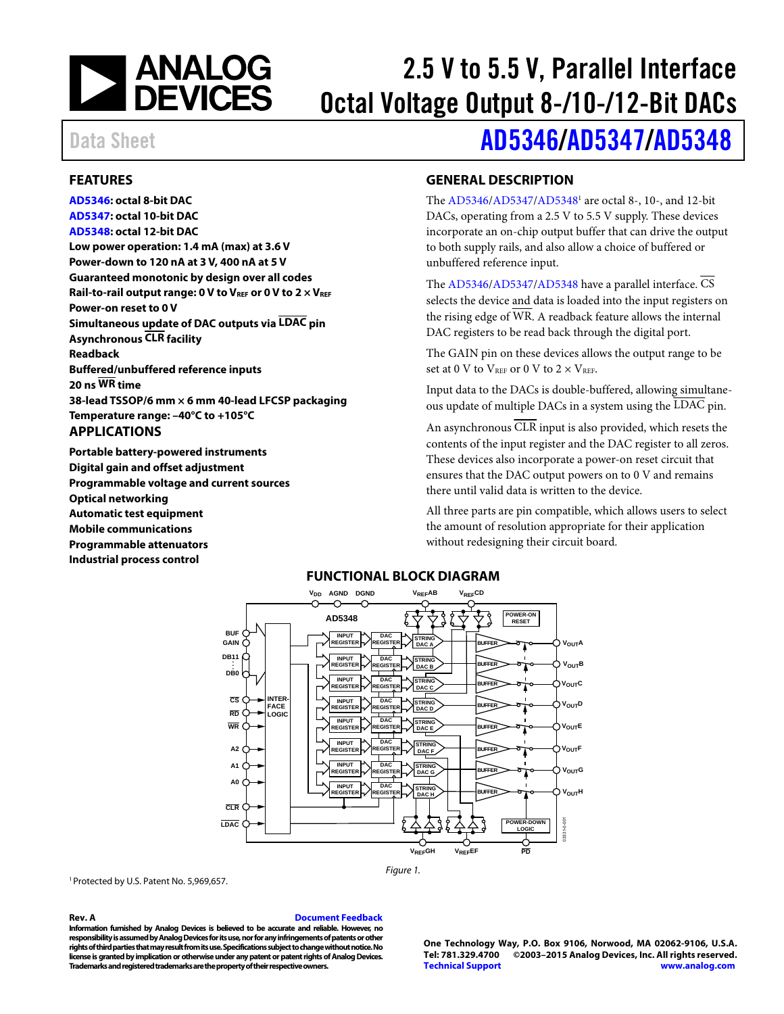

# 2.5 V to 5.5 V, Parallel Interface Octal Voltage Output 8-/10-/12-Bit DACs

## <span id="page-0-0"></span>**FEATURES**

**[AD5346:](http://www.analog.com/AD5346?doc=AD5346_5347_5348.pdf) octal 8-bit DAC [AD5347:](http://www.analog.com/AD5347?doc=AD5346_5347_5348.pdf) octal 10-bit DAC [AD5348:](http://www.analog.com/AD5348?doc=AD5346_5347_5348.pdf) octal 12-bit DAC Low power operation: 1.4 mA (max) at 3.6 V Power-down to 120 nA at 3 V, 400 nA at 5 V Guaranteed monotonic by design over all codes**  Rail-to-rail output range: 0 V to V<sub>REF</sub> or 0 V to 2  $\times$  V<sub>REF</sub> **Power-on reset to 0 V Simultaneous update of DAC outputs via LDAC pin Asynchronous CLR facility Readback Buffered/unbuffered reference inputs 20 ns WR time 38-lead TSSOP/6 mm × 6 mm 40-lead LFCSP packaging Temperature range: –40°C to +105°C** 

#### <span id="page-0-1"></span>**APPLICATIONS**

<span id="page-0-3"></span>**Portable battery-powered instruments Digital gain and offset adjustment Programmable voltage and current sources Optical networking Automatic test equipment Mobile communications Programmable attenuators Industrial process control** 

# Data Sheet **[AD5346](http://www.analog.com/AD5346?doc=AD5346_5347_5348.pdf)/[AD5347/](http://www.analog.com/AD5347?doc=AD5346_5347_5348.pdf)[AD5348](http://www.analog.com/AD5348?doc=AD5346_5347_5348.pdf)**

### <span id="page-0-2"></span>**GENERAL DESCRIPTION**

The [AD5346/](http://www.analog.com/AD5346?doc=AD5346_5347_5348.pdf)[AD5347/](http://www.analog.com/AD5347?doc=AD5346_5347_5348.pdf)[AD53481](http://www.analog.com/AD5348?doc=AD5346_5347_5348.pdf) are octal 8-, 10-, and 12-bit DACs, operating from a 2.5 V to 5.5 V supply. These devices incorporate an on-chip output buffer that can drive the output to both supply rails, and also allow a choice of buffered or unbuffered reference input.

The [AD5346/](http://www.analog.com/AD5346?doc=AD5346_5347_5348.pdf)[AD5347/](http://www.analog.com/AD5347?doc=AD5346_5347_5348.pdf)[AD5348 h](http://www.analog.com/AD5348?doc=AD5346_5347_5348.pdf)ave a parallel interface.  $\overline{\text{CS}}$ selects the device and data is loaded into the input registers on the rising edge of  $\overline{\text{WR}}$ . A readback feature allows the internal DAC registers to be read back through the digital port.

The GAIN pin on these devices allows the output range to be set at 0 V to  $V_{REF}$  or 0 V to  $2 \times V_{REF}$ .

Input data to the DACs is double-buffered, allowing simultaneous update of multiple DACs in a system using the LDAC pin.

An asynchronous CLR input is also provided, which resets the contents of the input register and the DAC register to all zeros. These devices also incorporate a power-on reset circuit that ensures that the DAC output powers on to 0 V and remains there until valid data is written to the device.

All three parts are pin compatible, which allows users to select the amount of resolution appropriate for their application without redesigning their circuit board.

#### **FUNCTIONAL BLOCK DIAGRAM**   $V_{DD}$  agnd dgnd **v**<sub>ref</sub>ab v<sub>ref</sub>cd **VREFAB** ⌒ ∩ **AD5348 POWER-ON RESET BUF INPUT REGISTER DAC GAIN STRING V<sub>OUT</sub> REGISTER BUFFER DAC A DB11 . INPUT DAC STRING . BUFFER**  $V_{\text{OUT}}B$ **REGISTER REGISTER DB0 . DAC B INPUT DAC STRING V<sub>OUT</sub>C BUFFER REGISTER REGISTER DAC C CS INTER-FACE LOGIC INPUT DAC V<sub>OUT</sub>D STRING BUFFER REGISTE REGISTER RD DAC D INPUT DAC WR STRING V<sub>OUT</sub>E REGISTER REGISTER BUFFER DAC E DAC INPUT STRING A2 BUFFER VOUTF REGISTER REGISTER DAC F A1 INPUT DAC STRING**  $V_{\text{OUT}}$ G **REGISTE ISTE BUFFER DAC G A0 INPUT DAC REGISTER STRING VOUTH REGISTER BUFFER DAC H CLR**  $\overline{8}$ **LDAC** 03331-0-001 **POWER-DOWN LOGIC VREFGH VREFEF PD**

Figure 1.

<sup>1</sup> Protected by U.S. Patent No. 5,969,657.

#### **Rev. A [Document Feedback](https://form.analog.com/Form_Pages/feedback/documentfeedback.aspx?doc=AD5346_5347_5348.pdf&product=AD5346%20AD5347%20AD5348&rev=A)**

**Information furnished by Analog Devices is believed to be accurate and reliable. However, no responsibility is assumed by Analog Devices for its use, nor for any infringements of patents or other rights of third parties that may result from its use. Specifications subject to change without notice. No license is granted by implication or otherwise under any patent or patent rights of Analog Devices. Trademarks and registered trademarks are the property of their respective owners.** 

**One Technology Way, P.O. Box 9106, Norwood, MA 02062-9106, U.S.A.** ©2003-2015 Analog Devices, Inc. All rights reserved. **[Technical Support](http://www.analog.com/en/content/technical_support_page/fca.html) [www.analog.com](http://www.analog.com/)**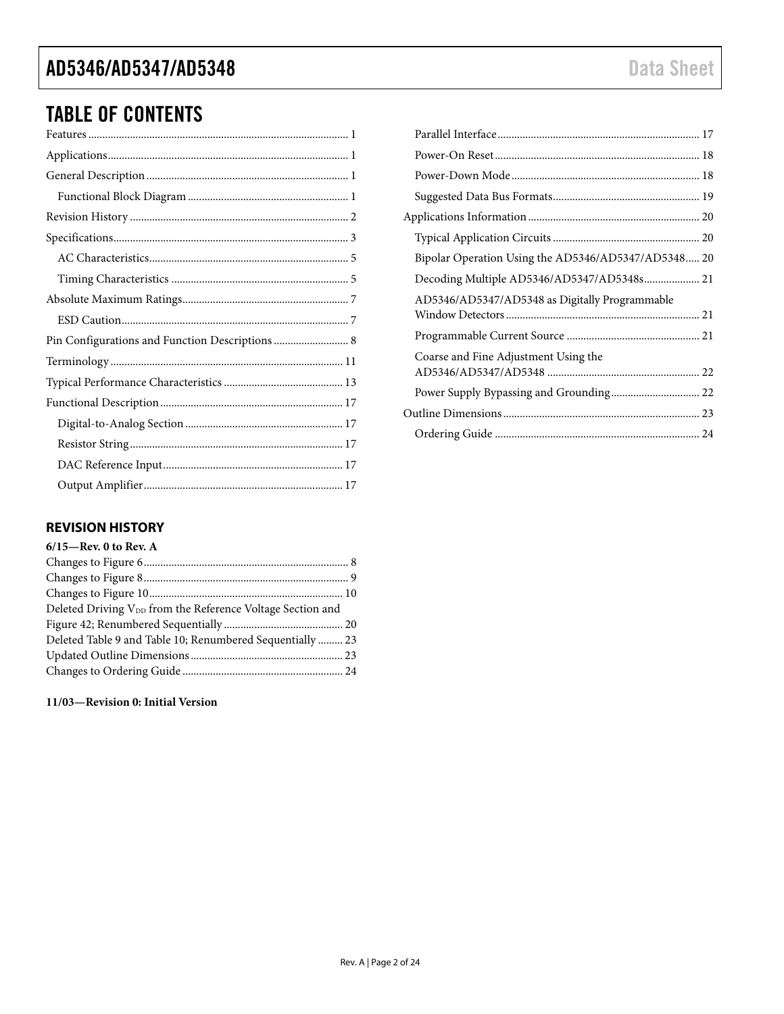# TABLE OF CONTENTS

### <span id="page-1-0"></span>**REVISION HISTORY**

| Deleted Driving V <sub>DD</sub> from the Reference Voltage Section and |
|------------------------------------------------------------------------|
|                                                                        |
| Deleted Table 9 and Table 10; Renumbered Sequentially  23              |
|                                                                        |
|                                                                        |
|                                                                        |

**11/03—Revision 0: Initial Version** 

| Bipolar Operation Using the AD5346/AD5347/AD5348 20 |  |
|-----------------------------------------------------|--|
| Decoding Multiple AD5346/AD5347/AD5348s 21          |  |
| AD5346/AD5347/AD5348 as Digitally Programmable      |  |
|                                                     |  |
| Coarse and Fine Adjustment Using the                |  |
|                                                     |  |
|                                                     |  |
|                                                     |  |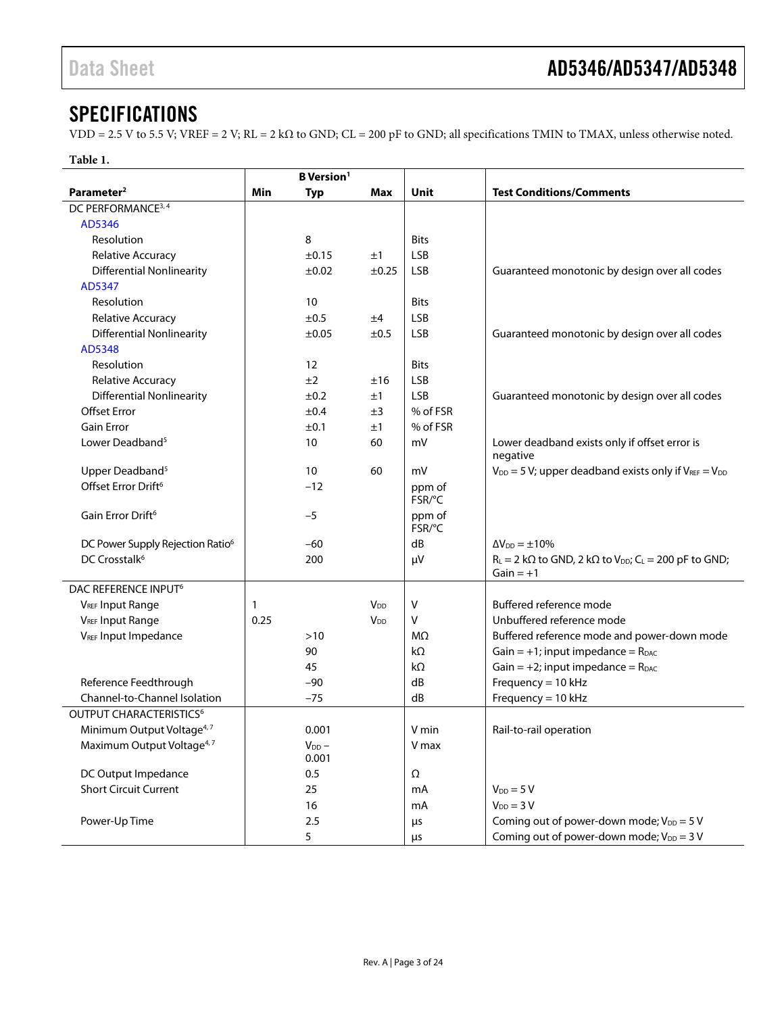# <span id="page-2-0"></span>**SPECIFICATIONS**

VDD = 2.5 V to 5.5 V; VREF = 2 V; RL = 2 kΩ to GND; CL = 200 pF to GND; all specifications TMIN to TMAX, unless otherwise noted.

|                                              |      | <b>B</b> Version <sup>1</sup> |                       |                  |                                                                                                     |
|----------------------------------------------|------|-------------------------------|-----------------------|------------------|-----------------------------------------------------------------------------------------------------|
| Parameter <sup>2</sup>                       | Min  | <b>Typ</b>                    | Max                   | Unit             | <b>Test Conditions/Comments</b>                                                                     |
| DC PERFORMANCE <sup>3, 4</sup>               |      |                               |                       |                  |                                                                                                     |
| AD5346                                       |      |                               |                       |                  |                                                                                                     |
| Resolution                                   |      | 8                             |                       | <b>Bits</b>      |                                                                                                     |
| Relative Accuracy                            |      | ±0.15                         | ±1                    | <b>LSB</b>       |                                                                                                     |
| <b>Differential Nonlinearity</b>             |      | $\pm 0.02$                    | ±0.25                 | <b>LSB</b>       | Guaranteed monotonic by design over all codes                                                       |
| AD5347                                       |      |                               |                       |                  |                                                                                                     |
| Resolution                                   |      | 10                            |                       | <b>Bits</b>      |                                                                                                     |
| <b>Relative Accuracy</b>                     |      | ±0.5                          | ±4                    | <b>LSB</b>       |                                                                                                     |
| <b>Differential Nonlinearity</b>             |      | $\pm 0.05$                    | ±0.5                  | <b>LSB</b>       | Guaranteed monotonic by design over all codes                                                       |
| AD5348                                       |      |                               |                       |                  |                                                                                                     |
| Resolution                                   |      | 12                            |                       | <b>Bits</b>      |                                                                                                     |
| Relative Accuracy                            |      | ±2                            | ±16                   | <b>LSB</b>       |                                                                                                     |
| <b>Differential Nonlinearity</b>             |      | ±0.2                          | ±1                    | <b>LSB</b>       | Guaranteed monotonic by design over all codes                                                       |
| <b>Offset Error</b>                          |      | ±0.4                          | ±3                    | % of FSR         |                                                                                                     |
| <b>Gain Error</b>                            |      | ±0.1                          | ±1                    | % of FSR         |                                                                                                     |
| Lower Deadband <sup>5</sup>                  |      | 10                            | 60                    | mV               | Lower deadband exists only if offset error is<br>negative                                           |
| Upper Deadband <sup>5</sup>                  |      | 10                            | 60                    | mV               | $V_{DD} = 5 V$ ; upper deadband exists only if $V_{REF} = V_{DD}$                                   |
| Offset Error Drift <sup>6</sup>              |      | $-12$                         |                       | ppm of<br>FSR/°C |                                                                                                     |
| Gain Error Drift <sup>6</sup>                |      | $-5$                          |                       | ppm of<br>FSR/°C |                                                                                                     |
| DC Power Supply Rejection Ratio <sup>6</sup> |      | $-60$                         |                       | dB               | $\Delta V_{DD} = \pm 10\%$                                                                          |
| DC Crosstalk <sup>6</sup>                    |      | 200                           |                       | μV               | $R_L = 2 k\Omega$ to GND, 2 k $\Omega$ to $V_{DD}$ ; C <sub>L</sub> = 200 pF to GND;<br>$Gain = +1$ |
| DAC REFERENCE INPUT <sup>6</sup>             |      |                               |                       |                  |                                                                                                     |
| <b>VREF Input Range</b>                      | 1    |                               | V <sub>DD</sub>       | V                | Buffered reference mode                                                                             |
| <b>VREF Input Range</b>                      | 0.25 |                               | <b>V<sub>DD</sub></b> | v                | Unbuffered reference mode                                                                           |
| VREF Input Impedance                         |      | $>10$                         |                       | MΩ               | Buffered reference mode and power-down mode                                                         |
|                                              |      | 90                            |                       | $k\Omega$        | Gain = $+1$ ; input impedance = $R_{DAC}$                                                           |
|                                              |      | 45                            |                       | $k\Omega$        | Gain = $+2$ ; input impedance = $R_{DAC}$                                                           |
| Reference Feedthrough                        |      | $-90$                         |                       | dB               | Frequency = $10$ kHz                                                                                |
| Channel-to-Channel Isolation                 |      | $-75$                         |                       | dB               | Frequency = $10$ kHz                                                                                |
| OUTPUT CHARACTERISTICS <sup>6</sup>          |      |                               |                       |                  |                                                                                                     |
| Minimum Output Voltage <sup>4, 7</sup>       |      | 0.001                         |                       | V min            | Rail-to-rail operation                                                                              |
| Maximum Output Voltage <sup>4,7</sup>        |      | $V_{DD}$ -                    |                       | V max            |                                                                                                     |
|                                              |      | 0.001                         |                       |                  |                                                                                                     |
| DC Output Impedance                          |      | 0.5                           |                       | Ω                |                                                                                                     |
| <b>Short Circuit Current</b>                 |      | 25                            |                       | mA               | $V_{DD} = 5 V$                                                                                      |
|                                              |      | 16                            |                       | mA               | $V_{DD} = 3 V$                                                                                      |
| Power-Up Time                                |      | 2.5                           |                       | μs               | Coming out of power-down mode; $V_{DD} = 5 V$                                                       |
|                                              |      | 5                             |                       | $\mu$ s          | Coming out of power-down mode; $V_{DD} = 3 V$                                                       |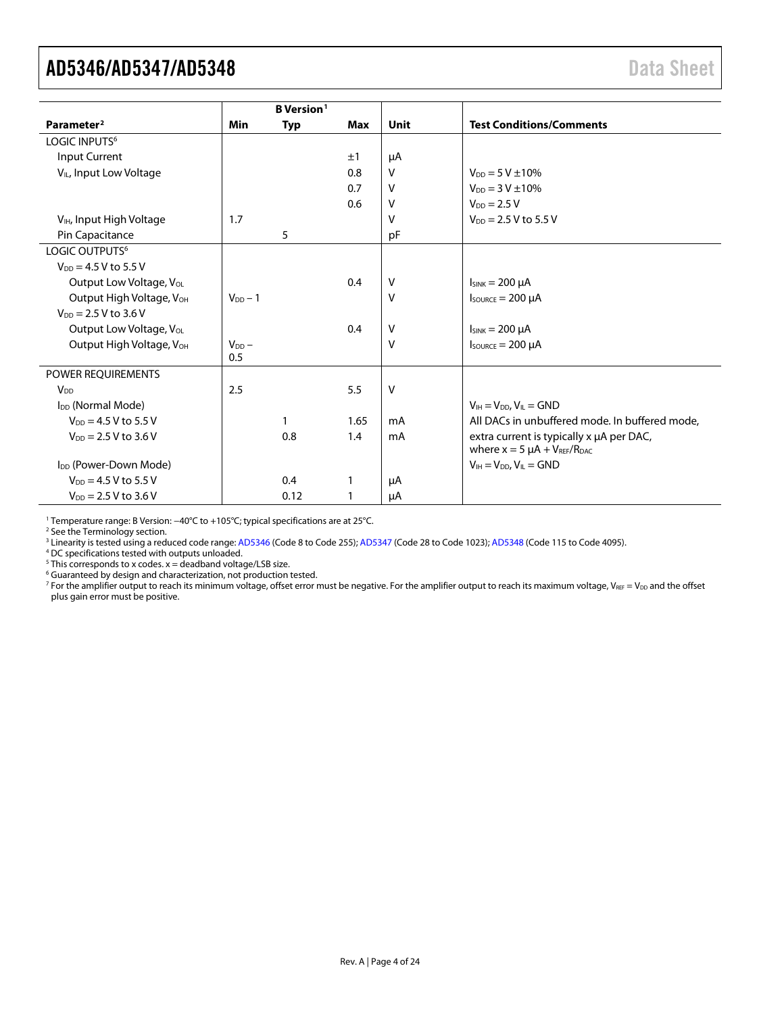<span id="page-3-1"></span><span id="page-3-0"></span>

|                                      |              | <b>B</b> Version <sup>1</sup> |      |         |                                                                                   |
|--------------------------------------|--------------|-------------------------------|------|---------|-----------------------------------------------------------------------------------|
| Parameter <sup>2</sup>               | Min          | <b>Typ</b>                    | Max  | Unit    | <b>Test Conditions/Comments</b>                                                   |
| LOGIC INPUTS <sup>6</sup>            |              |                               |      |         |                                                                                   |
| Input Current                        |              |                               | ±1   | μA      |                                                                                   |
| V <sub>IL</sub> , Input Low Voltage  |              |                               | 0.8  | $\vee$  | $V_{DD} = 5 V \pm 10\%$                                                           |
|                                      |              |                               | 0.7  | v       | $V_{DD} = 3 V \pm 10\%$                                                           |
|                                      |              |                               | 0.6  | v       | $V_{DD} = 2.5 V$                                                                  |
| V <sub>IH</sub> , Input High Voltage | 1.7          |                               |      | $\vee$  | $V_{DD} = 2.5 V$ to 5.5 V                                                         |
| Pin Capacitance                      |              | 5                             |      | pF      |                                                                                   |
| LOGIC OUTPUTS <sup>6</sup>           |              |                               |      |         |                                                                                   |
| $V_{DD} = 4.5 V$ to 5.5 V            |              |                               |      |         |                                                                                   |
| Output Low Voltage, Vol.             |              |                               | 0.4  | v       | $I_{SINK} = 200 \mu A$                                                            |
| Output High Voltage, VOH             | $V_{DD} - 1$ |                               |      | v       | $I_{\text{SOWRCE}} = 200 \mu A$                                                   |
| $V_{DD} = 2.5 V to 3.6 V$            |              |                               |      |         |                                                                                   |
| Output Low Voltage, Vol.             |              |                               | 0.4  | v       | $I_{SINK} = 200 \mu A$                                                            |
| Output High Voltage, V <sub>OH</sub> | $V_{DD}$ –   |                               |      | $\vee$  | $I_{\text{SOWRCE}} = 200 \mu A$                                                   |
|                                      | 0.5          |                               |      |         |                                                                                   |
| POWER REQUIREMENTS                   |              |                               |      |         |                                                                                   |
| V <sub>DD</sub>                      | 2.5          |                               | 5.5  | V       |                                                                                   |
| I <sub>DD</sub> (Normal Mode)        |              |                               |      |         | $V_{IH} = V_{DD}$ , $V_{IL} = GND$                                                |
| $V_{DD} = 4.5 V$ to 5.5 V            |              | $\mathbf{1}$                  | 1.65 | mA      | All DACs in unbuffered mode. In buffered mode,                                    |
| $V_{DD} = 2.5 V$ to 3.6 V            |              | 0.8                           | 1.4  | mA      | extra current is typically x µA per DAC,<br>where $x = 5 \mu A + V_{REF}/R_{DAC}$ |
| I <sub>DD</sub> (Power-Down Mode)    |              |                               |      |         | $V_{IH} = V_{DD}$ , $V_{IL} = GND$                                                |
| $V_{DD} = 4.5 V$ to 5.5 V            |              | 0.4                           | 1    | μA      |                                                                                   |
| $V_{DD} = 2.5 V to 3.6 V$            |              | 0.12                          | 1    | $\mu A$ |                                                                                   |

<sup>1</sup> Temperature range: B Version: −40°C to +105°C; typical specifications are at 25°C.

<sup>2</sup> See th[e Terminology](#page-10-0) section.

<sup>3</sup> Linearity is tested using a reduced code range[: AD5346](http://www.analog.com/AD5346?doc=AD5346_5347_5348.pdf) (Code 8 to Code 255)[; AD5347](http://www.analog.com/AD5347?doc=AD5346_5347_5348.pdf) (Code 28 to Code 1023)[; AD5348](http://www.analog.com/AD5348?doc=AD5346_5347_5348.pdf) (Code 115 to Code 4095).

<sup>4</sup> DC specifications tested with outputs unloaded.

 $5$  This corresponds to x codes.  $x =$  deadband voltage/LSB size.

<sup>6</sup> Guaranteed by design and characterization, not production tested.

 $\frac{7}{10}$  For the amplifier output to reach its minimum voltage, offset error must be negative. For the amplifier output to reach its maximum voltage, V<sub>REF</sub> = V<sub>DD</sub> and the offset plus gain error must be positive.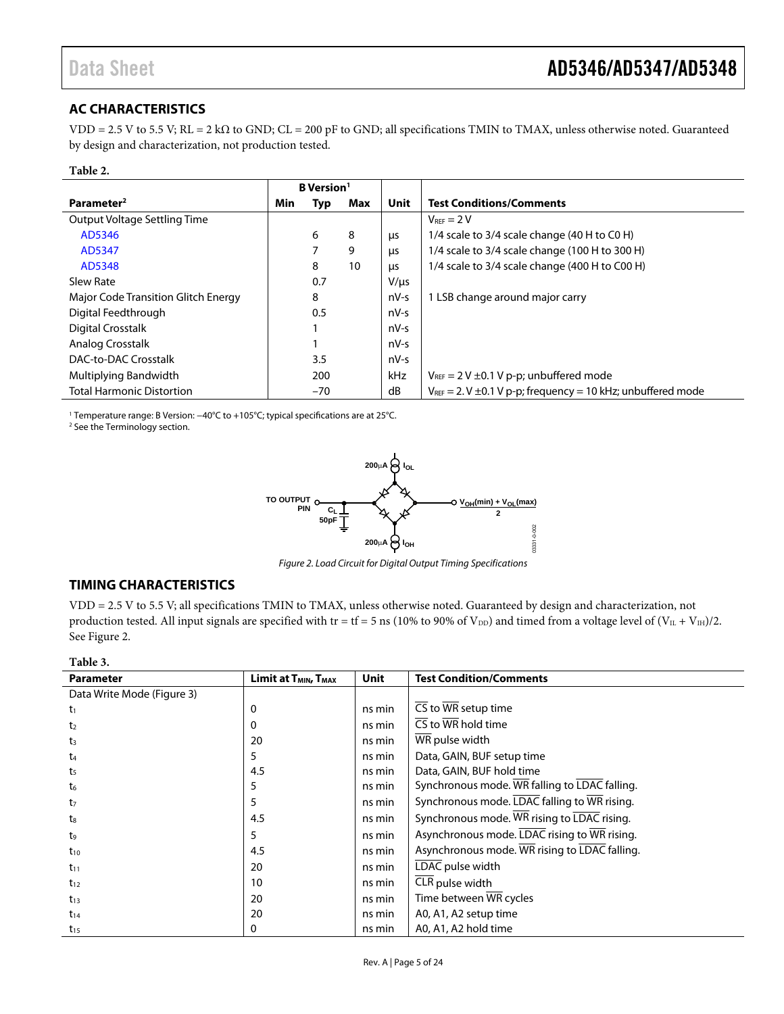## <span id="page-4-0"></span>**AC CHARACTERISTICS**

VDD = 2.5 V to 5.5 V; RL = 2 kΩ to GND; CL = 200 pF to GND; all specifications TMIN to TMAX, unless otherwise noted. Guaranteed by design and characterization, not production tested.

#### **Table 2.**

|                                     | <b>B</b> Version <sup>1</sup> |       |     |             |                                                                       |
|-------------------------------------|-------------------------------|-------|-----|-------------|-----------------------------------------------------------------------|
| Parameter <sup>2</sup>              | Min                           | Typ   | Max | <b>Unit</b> | <b>Test Conditions/Comments</b>                                       |
| Output Voltage Settling Time        |                               |       |     |             | $V_{\text{RFF}} = 2 V$                                                |
| AD5346                              |                               | 6     | 8   | μs          | 1/4 scale to 3/4 scale change (40 H to C0 H)                          |
| AD5347                              |                               | 7     | 9   | μs          | 1/4 scale to 3/4 scale change (100 H to 300 H)                        |
| AD5348                              |                               | 8     | 10  | μs          | 1/4 scale to 3/4 scale change (400 H to C00 H)                        |
| Slew Rate                           |                               | 0.7   |     | $V/\mu s$   |                                                                       |
| Major Code Transition Glitch Energy |                               | 8     |     | $nV-S$      | 1 LSB change around major carry                                       |
| Digital Feedthrough                 |                               | 0.5   |     | $nV-S$      |                                                                       |
| Digital Crosstalk                   |                               |       |     | $nV-S$      |                                                                       |
| Analog Crosstalk                    |                               |       |     | $nV-S$      |                                                                       |
| DAC-to-DAC Crosstalk                |                               | 3.5   |     | $nV-S$      |                                                                       |
| Multiplying Bandwidth               |                               | 200   |     | kHz         | $V_{REF}$ = 2 V $\pm$ 0.1 V p-p; unbuffered mode                      |
| <b>Total Harmonic Distortion</b>    |                               | $-70$ |     | dB          | $V_{REF}$ = 2. V $\pm$ 0.1 V p-p; frequency = 10 kHz; unbuffered mode |

<sup>1</sup> Temperature range: B Version: −40°C to +105°C; typical specifications are at 25°C.<br><sup>2</sup> See the Terminology section

<sup>2</sup> See the [Terminology](#page-10-1) section.



Figure 2. Load Circuit for Digital Output Timing Specifications

#### <span id="page-4-2"></span><span id="page-4-1"></span>**TIMING CHARACTERISTICS**

VDD = 2.5 V to 5.5 V; all specifications TMIN to TMAX, unless otherwise noted. Guaranteed by design and characterization, not production tested. All input signals are specified with tr = tf = 5 ns (10% to 90% of  $V_{DD}$ ) and timed from a voltage level of  $(V_{IL} + V_{IH})/2$ . See [Figure 2.](#page-4-2)

#### **Table 3.**

| <b>Parameter</b>           | Limit at T <sub>MIN</sub> , T <sub>MAX</sub> | Unit   | <b>Test Condition/Comments</b>                              |
|----------------------------|----------------------------------------------|--------|-------------------------------------------------------------|
| Data Write Mode (Figure 3) |                                              |        |                                                             |
| t1                         | 0                                            | ns min | $\overline{\text{CS}}$ to $\overline{\text{WR}}$ setup time |
| t <sub>2</sub>             | 0                                            | ns min | CS to $\overline{\text{WR}}$ hold time                      |
| $t_3$                      | 20                                           | ns min | WR pulse width                                              |
| t4                         | 5                                            | ns min | Data, GAIN, BUF setup time                                  |
| t5                         | 4.5                                          | ns min | Data, GAIN, BUF hold time                                   |
| t <sub>6</sub>             | 5                                            | ns min | Synchronous mode. WR falling to LDAC falling.               |
| t7                         | 5                                            | ns min | Synchronous mode. LDAC falling to WR rising.                |
| ts                         | 4.5                                          | ns min | Synchronous mode. WR rising to LDAC rising.                 |
| t9                         | 5                                            | ns min | Asynchronous mode. LDAC rising to WR rising.                |
| $t_{10}$                   | 4.5                                          | ns min | Asynchronous mode. WR rising to LDAC falling.               |
| $t_{11}$                   | 20                                           | ns min | LDAC pulse width                                            |
| $t_{12}$                   | 10                                           | ns min | CLR pulse width                                             |
| $t_{13}$                   | 20                                           | ns min | Time between WR cycles                                      |
| $t_{14}$                   | 20                                           | ns min | A0, A1, A2 setup time                                       |
| $t_{15}$                   | 0                                            | ns min | A0, A1, A2 hold time                                        |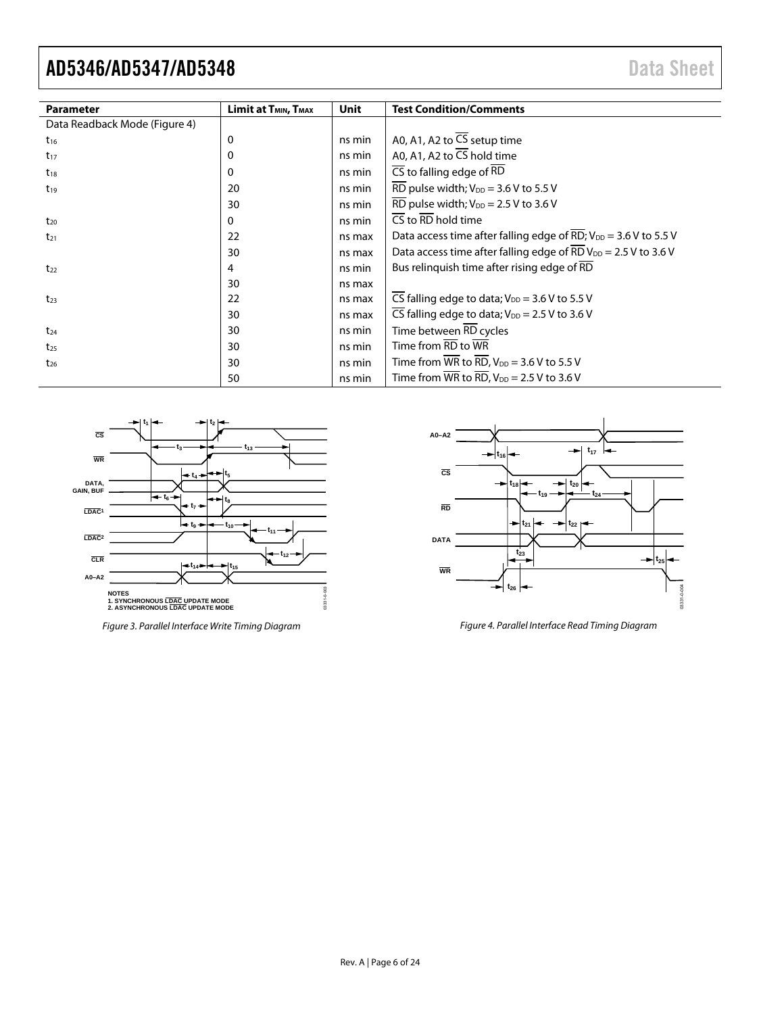| <b>Parameter</b>              | Limit at T <sub>MIN</sub> , T <sub>MAX</sub> | Unit   | <b>Test Condition/Comments</b>                                                                 |
|-------------------------------|----------------------------------------------|--------|------------------------------------------------------------------------------------------------|
| Data Readback Mode (Figure 4) |                                              |        |                                                                                                |
| $t_{16}$                      | 0                                            | ns min | A0, A1, A2 to $\overline{CS}$ setup time                                                       |
| $t_{17}$                      | 0                                            | ns min | A0, A1, A2 to $\overline{CS}$ hold time                                                        |
| $t_{18}$                      | 0                                            | ns min | $\overline{\text{CS}}$ to falling edge of $\overline{\text{RD}}$                               |
| $t_{19}$                      | 20                                           | ns min | $\overline{\text{RD}}$ pulse width; $V_{\text{DD}} = 3.6 \text{ V}$ to 5.5 V                   |
|                               | 30                                           | ns min | $\overline{\text{RD}}$ pulse width; $V_{\text{DD}} = 2.5 \text{ V}$ to 3.6 V                   |
| $t_{20}$                      | 0                                            | ns min | $\overline{\text{CS}}$ to $\overline{\text{RD}}$ hold time                                     |
| $t_{21}$                      | 22                                           | ns max | Data access time after falling edge of RD; $V_{DD} = 3.6$ V to 5.5 V                           |
|                               | 30                                           | ns max | Data access time after falling edge of $\overline{\text{RD}}$ V <sub>DD</sub> = 2.5 V to 3.6 V |
| $t_{22}$                      | 4                                            | ns min | Bus relinguish time after rising edge of RD                                                    |
|                               | 30                                           | ns max |                                                                                                |
| $t_{23}$                      | 22                                           | ns max | $\overline{CS}$ falling edge to data; $V_{DD} = 3.6$ V to 5.5 V                                |
|                               | 30                                           | ns max | $\overline{\text{CS}}$ falling edge to data; $V_{\text{DD}} = 2.5 \text{ V}$ to 3.6 V          |
| $t_{24}$                      | 30                                           | ns min | Time between RD cycles                                                                         |
| $t_{25}$                      | 30                                           | ns min | Time from $\overline{RD}$ to $\overline{WR}$                                                   |
| $t_{26}$                      | 30                                           | ns min | Time from $\overline{\text{WR}}$ to $\overline{\text{RD}}$ , $V_{DD} = 3.6 \text{ V}$ to 5.5 V |
|                               | 50                                           | ns min | Time from $\overline{\text{WR}}$ to $\overline{\text{RD}}$ , $V_{DD} = 2.5 \text{ V}$ to 3.6 V |



<span id="page-5-0"></span>Figure 3. Parallel Interface Write Timing Diagram



<span id="page-5-1"></span>Figure 4. Parallel Interface Read Timing Diagram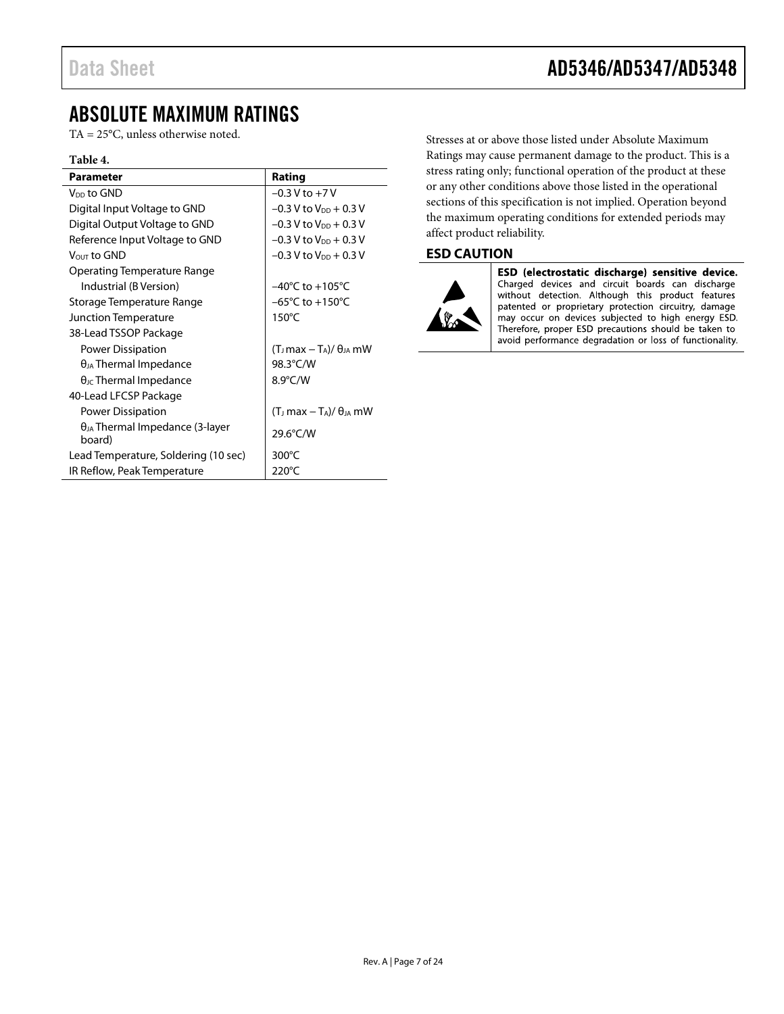# <span id="page-6-0"></span>ABSOLUTE MAXIMUM RATINGS

TA = 25°C, unless otherwise noted.

#### **Table 4.**

| <b>Parameter</b>                                   | Rating                                           |
|----------------------------------------------------|--------------------------------------------------|
| V <sub>DD</sub> to GND                             | $-0.3 V$ to $+7V$                                |
| Digital Input Voltage to GND                       | $-0.3$ V to $V_{DD}$ + 0.3 V                     |
| Digital Output Voltage to GND                      | $-0.3$ V to $V_{DD}$ + 0.3 V                     |
| Reference Input Voltage to GND                     | $-0.3$ V to V <sub>DD</sub> + 0.3 V              |
| Vout to GND                                        | $-0.3$ V to $V_{DD}$ + 0.3 V                     |
| Operating Temperature Range                        |                                                  |
| Industrial (B Version)                             | $-40^{\circ}$ C to $+105^{\circ}$ C              |
| Storage Temperature Range                          | $-65^{\circ}$ C to $+150^{\circ}$ C              |
| Junction Temperature                               | $150^{\circ}$ C                                  |
| 38-Lead TSSOP Package                              |                                                  |
| Power Dissipation                                  | $(T_J$ max – $T_A$ )/ $\theta_{JA}$ mW           |
| $\theta_{JA}$ Thermal Impedance                    | 98.3°C/W                                         |
| $\theta$ <sub>JC</sub> Thermal Impedance           | 8.9°C/W                                          |
| 40-Lead LFCSP Package                              |                                                  |
| Power Dissipation                                  | $(T_J \text{ max} - T_A)/\theta_{JA} \text{ mW}$ |
| $\theta_{JA}$ Thermal Impedance (3-layer<br>board) | 29.6°C/W                                         |
| Lead Temperature, Soldering (10 sec)               | 300 $\degree$ C                                  |
| IR Reflow, Peak Temperature                        | 220°C                                            |
|                                                    |                                                  |

Stresses at or above those listed under Absolute Maximum Ratings may cause permanent damage to the product. This is a stress rating only; functional operation of the product at these or any other conditions above those listed in the operational sections of this specification is not implied. Operation beyond the maximum operating conditions for extended periods may affect product reliability.

### <span id="page-6-1"></span>**ESD CAUTION**



ESD (electrostatic discharge) sensitive device. Charged devices and circuit boards can discharge without detection. Although this product features patented or proprietary protection circuitry, damage may occur on devices subjected to high energy ESD. Therefore, proper ESD precautions should be taken to avoid performance degradation or loss of functionality.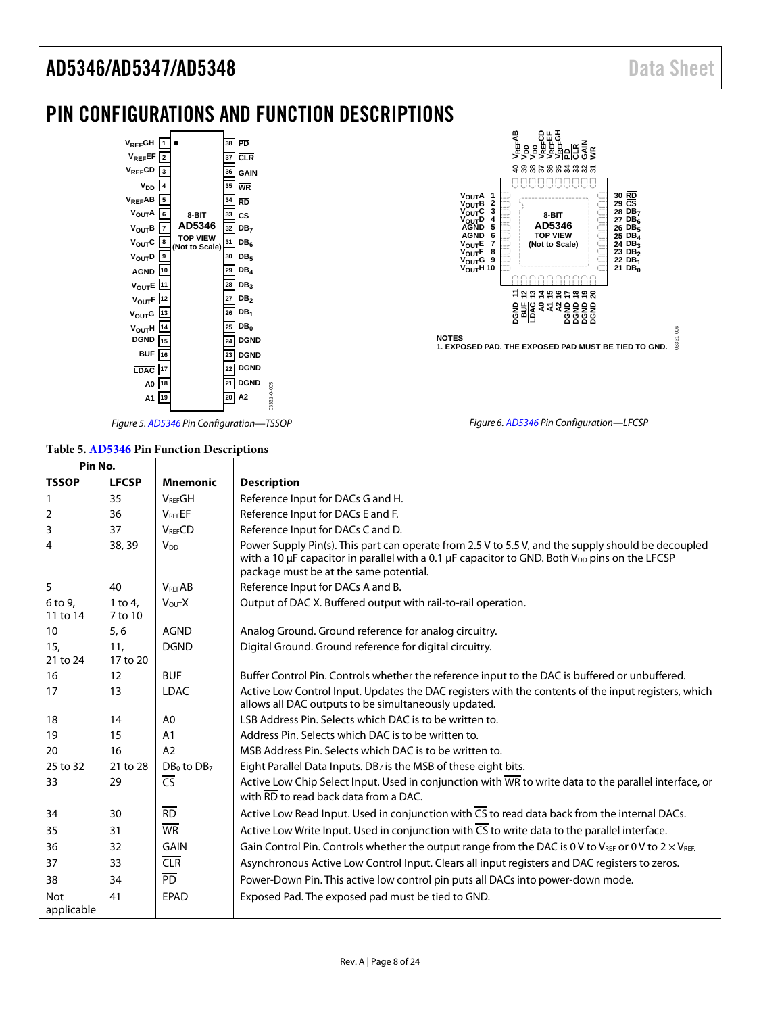**CS**

**RD**

**DB<sub>7</sub>**<br><u>DB<sub>6</sub></u>

# <span id="page-7-0"></span>PIN CONFIGURATIONS AND FUNCTION DESCRIPTIONS





**WREFE**<br>พลอดพิพิษัญน์<br>>>>>>>>>>BIDO<br>>>>>>>>>BIDOD

**40 39 38 37 36 35 34 33 32 31**

. . . . . . . . . . . . . . . .

**8-BIT**

**V<sub>OUT</sub>A<br>V<sub>OUT</sub>C<br>V<sub>OUT</sub>C<br>V<sub>OUT</sub>D** 

*Figure 5[. AD5346](http://www.analog.com/AD5346?doc=AD5346_5347_5348.pdf) Pin Configuration—TSSOP*

*Figure 6[. AD5346](http://www.analog.com/AD5346?doc=AD5346_5347_5348.pdf) Pin Configuration—LFCSP*

#### **Table 5[. AD5346](http://www.analog.com/AD5346?doc=AD5346_5347_5348.pdf) Pin Function Descriptions**

| Pin No.                     |                    |                        |                                                                                                                                                                                                                                                                     |
|-----------------------------|--------------------|------------------------|---------------------------------------------------------------------------------------------------------------------------------------------------------------------------------------------------------------------------------------------------------------------|
| <b>TSSOP</b>                | <b>LFCSP</b>       | <b>Mnemonic</b>        | <b>Description</b>                                                                                                                                                                                                                                                  |
| 1                           | 35                 | <b>VREFGH</b>          | Reference Input for DACs G and H.                                                                                                                                                                                                                                   |
| 2                           | 36                 | $V_{\text{REF}}EF$     | Reference Input for DACs E and F.                                                                                                                                                                                                                                   |
| 3                           | 37                 | <b>VRFFCD</b>          | Reference Input for DACs C and D.                                                                                                                                                                                                                                   |
| 4                           | 38, 39             | <b>V<sub>DD</sub></b>  | Power Supply Pin(s). This part can operate from 2.5 V to 5.5 V, and the supply should be decoupled<br>with a 10 $\mu$ F capacitor in parallel with a 0.1 $\mu$ F capacitor to GND. Both V <sub>DD</sub> pins on the LFCSP<br>package must be at the same potential. |
| 5                           | 40                 | <b>VRFFAB</b>          | Reference Input for DACs A and B.                                                                                                                                                                                                                                   |
| 6 to 9,<br>11 to 14         | 1 to 4.<br>7 to 10 | <b>VOUTX</b>           | Output of DAC X. Buffered output with rail-to-rail operation.                                                                                                                                                                                                       |
| 10 <sup>°</sup>             | 5, 6               | <b>AGND</b>            | Analog Ground. Ground reference for analog circuitry.                                                                                                                                                                                                               |
| 15 <sub>1</sub><br>21 to 24 | 11,<br>17 to 20    | <b>DGND</b>            | Digital Ground. Ground reference for digital circuitry.                                                                                                                                                                                                             |
| 16                          | 12                 | <b>BUF</b>             | Buffer Control Pin. Controls whether the reference input to the DAC is buffered or unbuffered.                                                                                                                                                                      |
| 17                          | 13                 | <b>LDAC</b>            | Active Low Control Input. Updates the DAC registers with the contents of the input registers, which<br>allows all DAC outputs to be simultaneously updated.                                                                                                         |
| 18                          | 14                 | A <sub>0</sub>         | LSB Address Pin. Selects which DAC is to be written to.                                                                                                                                                                                                             |
| 19                          | 15                 | A <sub>1</sub>         | Address Pin. Selects which DAC is to be written to.                                                                                                                                                                                                                 |
| 20                          | 16                 | A2                     | MSB Address Pin. Selects which DAC is to be written to.                                                                                                                                                                                                             |
| 25 to 32                    | 21 to 28           | $DB0$ to $DB7$         | Eight Parallel Data Inputs. DB7 is the MSB of these eight bits.                                                                                                                                                                                                     |
| 33                          | 29                 | $\overline{\text{CS}}$ | Active Low Chip Select Input. Used in conjunction with $\overline{WR}$ to write data to the parallel interface, or<br>with $\overline{\text{RD}}$ to read back data from a DAC.                                                                                     |
| 34                          | 30                 | RD                     | Active Low Read Input. Used in conjunction with $\overline{CS}$ to read data back from the internal DACs.                                                                                                                                                           |
| 35                          | 31                 | <b>WR</b>              | Active Low Write Input. Used in conjunction with $\overline{CS}$ to write data to the parallel interface.                                                                                                                                                           |
| 36                          | 32                 | <b>GAIN</b>            | Gain Control Pin. Controls whether the output range from the DAC is 0 V to V <sub>REF</sub> or 0 V to 2 $\times$ V <sub>REF.</sub>                                                                                                                                  |
| 37                          | 33                 | CLR                    | Asynchronous Active Low Control Input. Clears all input registers and DAC registers to zeros.                                                                                                                                                                       |
| 38                          | 34                 | $\overline{PD}$        | Power-Down Pin. This active low control pin puts all DACs into power-down mode.                                                                                                                                                                                     |
| <b>Not</b><br>applicable    | 41                 | EPAD                   | Exposed Pad. The exposed pad must be tied to GND.                                                                                                                                                                                                                   |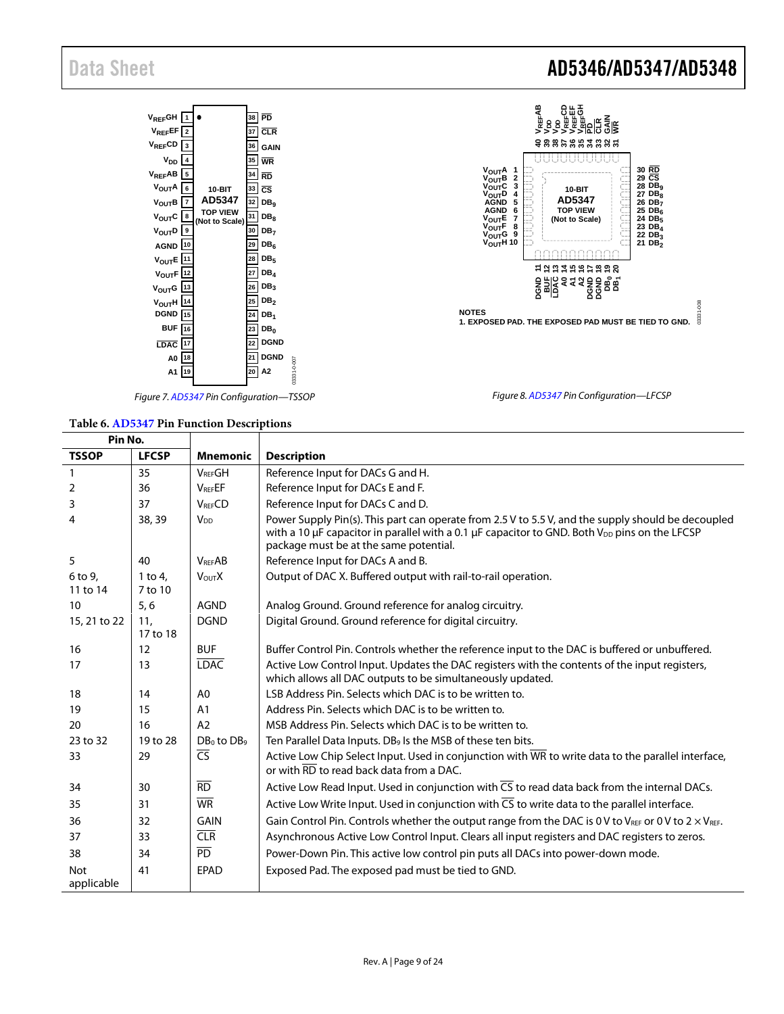

*Figure 7[. AD5347](http://www.analog.com/AD5347?doc=AD5346_5347_5348.pdf) Pin Configuration—TSSOP*

#### **Table 6[. AD5347](http://www.analog.com/AD5347?doc=AD5346_5347_5348.pdf) Pin Function Descriptions**

| Pin No.             |                    |                          |                                                                                                                                                                                                                                                           |
|---------------------|--------------------|--------------------------|-----------------------------------------------------------------------------------------------------------------------------------------------------------------------------------------------------------------------------------------------------------|
| <b>TSSOP</b>        | <b>LFCSP</b>       | <b>Mnemonic</b>          | <b>Description</b>                                                                                                                                                                                                                                        |
| $\mathbf{1}$        | 35                 | <b>VREFGH</b>            | Reference Input for DACs G and H.                                                                                                                                                                                                                         |
| 2                   | 36                 | <b>VREFEF</b>            | Reference Input for DACs E and F.                                                                                                                                                                                                                         |
| 3                   | 37                 | <b>VRFFCD</b>            | Reference Input for DACs C and D.                                                                                                                                                                                                                         |
| 4                   | 38, 39             | V <sub>DD</sub>          | Power Supply Pin(s). This part can operate from 2.5 V to 5.5 V, and the supply should be decoupled<br>with a 10 uF capacitor in parallel with a 0.1 uF capacitor to GND. Both V <sub>DD</sub> pins on the LFCSP<br>package must be at the same potential. |
| 5                   | 40                 | <b>VREFAB</b>            | Reference Input for DACs A and B.                                                                                                                                                                                                                         |
| 6 to 9,<br>11 to 14 | 1 to 4.<br>7 to 10 | <b>VOUTX</b>             | Output of DAC X. Buffered output with rail-to-rail operation.                                                                                                                                                                                             |
| 10                  | 5,6                | <b>AGND</b>              | Analog Ground. Ground reference for analog circuitry.                                                                                                                                                                                                     |
| 15, 21 to 22        | 11.<br>17 to 18    | <b>DGND</b>              | Digital Ground. Ground reference for digital circuitry.                                                                                                                                                                                                   |
| 16                  | 12                 | <b>BUF</b>               | Buffer Control Pin. Controls whether the reference input to the DAC is buffered or unbuffered.                                                                                                                                                            |
| 17                  | 13                 | <b>LDAC</b>              | Active Low Control Input. Updates the DAC registers with the contents of the input registers,<br>which allows all DAC outputs to be simultaneously updated.                                                                                               |
| 18                  | 14                 | A0                       | LSB Address Pin. Selects which DAC is to be written to.                                                                                                                                                                                                   |
| 19                  | 15                 | A <sub>1</sub>           | Address Pin. Selects which DAC is to be written to.                                                                                                                                                                                                       |
| 20                  | 16                 | A2                       | MSB Address Pin. Selects which DAC is to be written to.                                                                                                                                                                                                   |
| 23 to 32            | 19 to 28           | $DB_0$ to $DB_9$         | Ten Parallel Data Inputs. DB <sub>9</sub> Is the MSB of these ten bits.                                                                                                                                                                                   |
| 33                  | 29                 | $\overline{\mathsf{CS}}$ | Active Low Chip Select Input. Used in conjunction with $\overline{\text{WR}}$ to write data to the parallel interface,<br>or with $\overline{\text{RD}}$ to read back data from a DAC.                                                                    |
| 34                  | 30                 | $\overline{RD}$          | Active Low Read Input. Used in conjunction with $\overline{CS}$ to read data back from the internal DACs.                                                                                                                                                 |
| 35                  | 31                 | <b>WR</b>                | Active Low Write Input. Used in conjunction with $\overline{CS}$ to write data to the parallel interface.                                                                                                                                                 |
| 36                  | 32                 | GAIN                     | Gain Control Pin. Controls whether the output range from the DAC is 0 V to VREF or 0 V to 2 $\times$ VREF.                                                                                                                                                |
| 37                  | 33                 | CLR                      | Asynchronous Active Low Control Input. Clears all input registers and DAC registers to zeros.                                                                                                                                                             |
| 38                  | 34                 | $\overline{PD}$          | Power-Down Pin. This active low control pin puts all DACs into power-down mode.                                                                                                                                                                           |
| <b>Not</b>          | 41                 | EPAD                     | Exposed Pad. The exposed pad must be tied to GND.                                                                                                                                                                                                         |
| applicable          |                    |                          |                                                                                                                                                                                                                                                           |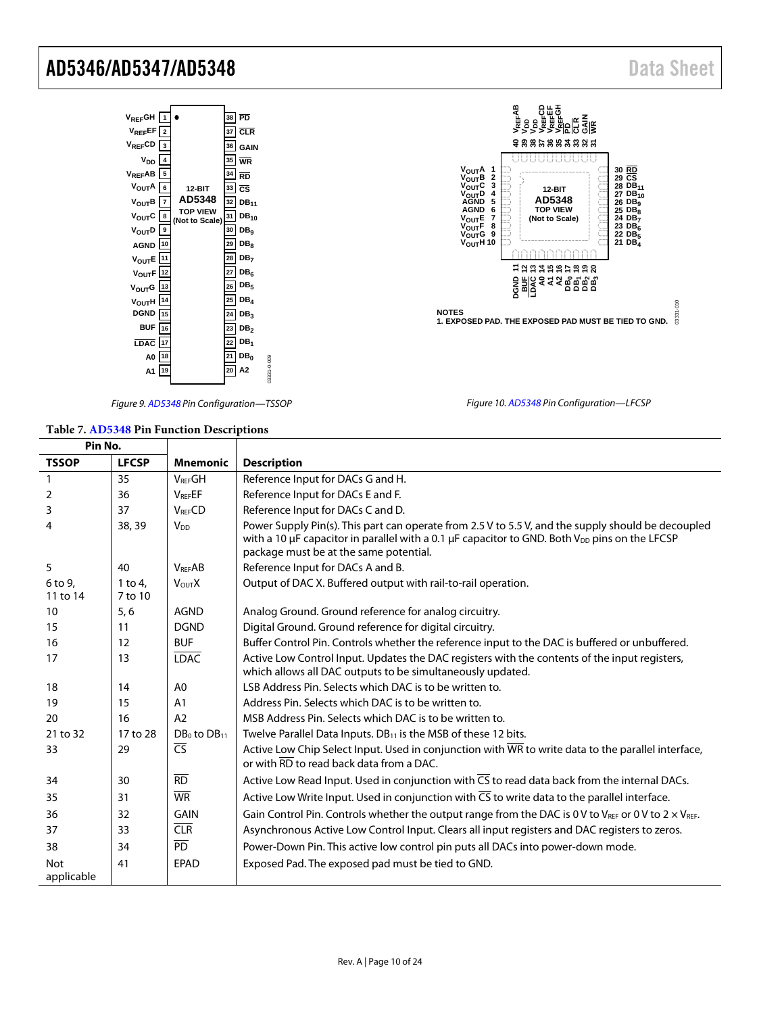| V <sub>REF</sub> GH                              |                |                |                | 38 | PD                       |
|--------------------------------------------------|----------------|----------------|----------------|----|--------------------------|
| $\mathsf{v}_\mathsf{REF}$ EF                     | $\overline{2}$ |                |                | 37 | $\overline{\text{CLR}}$  |
| V <sub>REF</sub> CD                              | 3              |                |                | 36 | GAIN                     |
| V <sub>DD</sub>                                  | $\overline{4}$ |                |                | 35 | <b>WR</b>                |
| V <sub>REF</sub> AB                              | 5              |                |                | 34 | RD                       |
| V <sub>OUT</sub> A                               | 6              | 12-BIT         |                | 33 | $\overline{\mathsf{cs}}$ |
| $V_{\text{OUT}}B$                                | $\overline{7}$ | AD5348         |                | 32 | DB <sub>11</sub>         |
| $V_{\text{OUT}}C$                                | 8              | <b>OP VIFW</b> | (Not to Scale) | 31 | $DB_{10}$                |
| V <sub>OUT</sub> D   9                           |                |                |                | 30 | DB <sub>9</sub>          |
| AGND 10                                          |                |                |                | 29 | DB <sub>R</sub>          |
| $V_{\text{OUT}}E$ 11                             |                |                |                | 28 | DB <sub>7</sub>          |
| $V_{\text{OUT}}$ F $\left  \frac{12}{2} \right $ |                |                |                | 27 | DB <sub>6</sub>          |
| V <sub>OUT</sub> G                               | 13             |                |                | 26 | DB,                      |
| VOUTH                                            | 14             |                |                | 25 | DB <sub>A</sub>          |
| DGND                                             | 15             |                |                | 24 | DB <sub>3</sub>          |
| BUF                                              | 16             |                |                | 23 | DB <sub>2</sub>          |
| <b>LDAC</b>                                      | 117            |                |                | 22 | DB <sub>1</sub>          |
| A0 18                                            |                |                |                | 21 | DB <sub>o</sub>          |
| A1                                               | 19             |                |                | 20 | A2                       |
|                                                  |                |                |                |    |                          |



*Figure 10[. AD5348](http://www.analog.com/AD5348?doc=AD5346_5347_5348.pdf) Pin Configuration—LFCSP*

*Figure 9[. AD5348](http://www.analog.com/AD5348?doc=AD5346_5347_5348.pdf) Pin Configuration—TSSOP*

03331-0-009

03331-0-009

#### **Table 7[. AD5348](http://www.analog.com/AD5348?doc=AD5346_5347_5348.pdf) Pin Function Descriptions**

| Pin No.                  |                      |                                     |                                                                                                                                                                                                                                                                     |
|--------------------------|----------------------|-------------------------------------|---------------------------------------------------------------------------------------------------------------------------------------------------------------------------------------------------------------------------------------------------------------------|
| <b>TSSOP</b>             | <b>LFCSP</b>         | <b>Mnemonic</b>                     | <b>Description</b>                                                                                                                                                                                                                                                  |
| $\mathbf{1}$             | 35                   | <b>VREFGH</b>                       | Reference Input for DACs G and H.                                                                                                                                                                                                                                   |
| 2                        | 36                   | $V_{\text{REF}}E$ F                 | Reference Input for DACs E and F.                                                                                                                                                                                                                                   |
| 3                        | 37                   | <b>VRFFCD</b>                       | Reference Input for DACs C and D.                                                                                                                                                                                                                                   |
| 4                        | 38, 39               | <b>V<sub>DD</sub></b>               | Power Supply Pin(s). This part can operate from 2.5 V to 5.5 V, and the supply should be decoupled<br>with a 10 $\mu$ F capacitor in parallel with a 0.1 $\mu$ F capacitor to GND. Both V <sub>DD</sub> pins on the LFCSP<br>package must be at the same potential. |
| 5                        | 40                   | <b>VREFAB</b>                       | Reference Input for DACs A and B.                                                                                                                                                                                                                                   |
| 6 to 9.<br>11 to 14      | $1$ to 4.<br>7 to 10 | V <sub>OUT</sub> X                  | Output of DAC X. Buffered output with rail-to-rail operation.                                                                                                                                                                                                       |
| 10                       | 5, 6                 | <b>AGND</b>                         | Analog Ground. Ground reference for analog circuitry.                                                                                                                                                                                                               |
| 15                       | 11                   | <b>DGND</b>                         | Digital Ground. Ground reference for digital circuitry.                                                                                                                                                                                                             |
| 16                       | 12                   | <b>BUF</b>                          | Buffer Control Pin. Controls whether the reference input to the DAC is buffered or unbuffered.                                                                                                                                                                      |
| 17                       | 13                   | <b>LDAC</b>                         | Active Low Control Input. Updates the DAC registers with the contents of the input registers,<br>which allows all DAC outputs to be simultaneously updated.                                                                                                         |
| 18                       | 14                   | A <sub>0</sub>                      | LSB Address Pin. Selects which DAC is to be written to.                                                                                                                                                                                                             |
| 19                       | 15                   | A <sub>1</sub>                      | Address Pin. Selects which DAC is to be written to.                                                                                                                                                                                                                 |
| 20                       | 16                   | A2                                  | MSB Address Pin. Selects which DAC is to be written to.                                                                                                                                                                                                             |
| 21 to 32                 | 17 to 28             | DB <sub>0</sub> to DB <sub>11</sub> | Twelve Parallel Data Inputs. DB <sub>11</sub> is the MSB of these 12 bits.                                                                                                                                                                                          |
| 33                       | 29                   | $\overline{\text{CS}}$              | Active Low Chip Select Input. Used in conjunction with WR to write data to the parallel interface,<br>or with RD to read back data from a DAC.                                                                                                                      |
| 34                       | 30                   | $\overline{RD}$                     | Active Low Read Input. Used in conjunction with $\overline{CS}$ to read data back from the internal DACs.                                                                                                                                                           |
| 35                       | 31                   | <b>WR</b>                           | Active Low Write Input. Used in conjunction with $\overline{CS}$ to write data to the parallel interface.                                                                                                                                                           |
| 36                       | 32                   | <b>GAIN</b>                         | Gain Control Pin. Controls whether the output range from the DAC is 0 V to V <sub>REF</sub> or 0 V to 2 $\times$ V <sub>REF</sub> .                                                                                                                                 |
| 37                       | 33                   | CLR                                 | Asynchronous Active Low Control Input. Clears all input registers and DAC registers to zeros.                                                                                                                                                                       |
| 38                       | 34                   | $\overline{PD}$                     | Power-Down Pin. This active low control pin puts all DACs into power-down mode.                                                                                                                                                                                     |
| <b>Not</b><br>applicable | 41                   | <b>EPAD</b>                         | Exposed Pad. The exposed pad must be tied to GND.                                                                                                                                                                                                                   |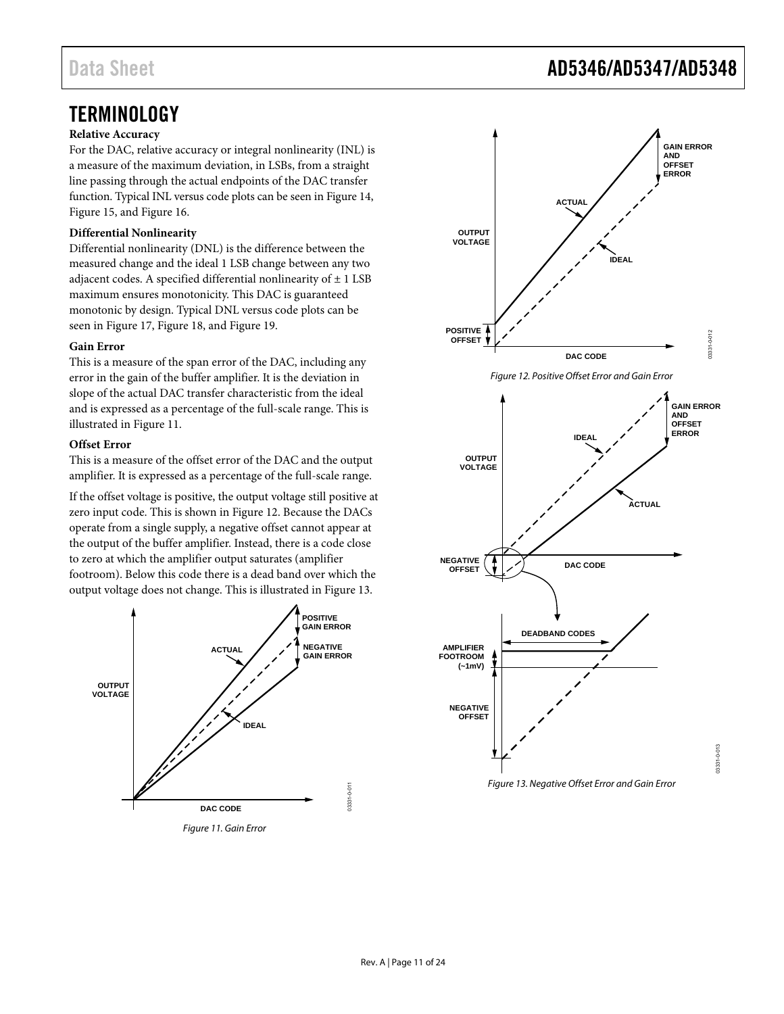# <span id="page-10-0"></span>**TERMINOLOGY**

### **Relative Accuracy**

For the DAC, relative accuracy or integral nonlinearity (INL) is a measure of the maximum deviation, in LSBs, from a straight line passing through the actual endpoints of the DAC transfer function. Typical INL versus code plots can be seen in [Figure 14,](#page-12-1)  [Figure 15,](#page-12-2) an[d Figure 16.](#page-12-3)

#### **Differential Nonlinearity**

Differential nonlinearity (DNL) is the difference between the measured change and the ideal 1 LSB change between any two adjacent codes. A specified differential nonlinearity of  $\pm$  1 LSB maximum ensures monotonicity. This DAC is guaranteed monotonic by design. Typical DNL versus code plots can be seen in [Figure 17,](#page-12-4) [Figure 18,](#page-12-5) an[d Figure 19.](#page-12-6)

#### **Gain Error**

This is a measure of the span error of the DAC, including any error in the gain of the buffer amplifier. It is the deviation in slope of the actual DAC transfer characteristic from the ideal and is expressed as a percentage of the full-scale range. This is illustrated i[n Figure 11.](#page-10-2)

#### **Offset Error**

This is a measure of the offset error of the DAC and the output amplifier. It is expressed as a percentage of the full-scale range.

If the offset voltage is positive, the output voltage still positive at zero input code. This is shown i[n Figure 12.](#page-10-3) Because the DACs operate from a single supply, a negative offset cannot appear at the output of the buffer amplifier. Instead, there is a code close to zero at which the amplifier output saturates (amplifier footroom). Below this code there is a dead band over which the output voltage does not change. This is illustrated i[n Figure 13.](#page-10-4)



<span id="page-10-2"></span>Figure 11. Gain Error

# <span id="page-10-1"></span>Data Sheet **AD5346/AD5347/AD5348**

<span id="page-10-3"></span>

<span id="page-10-4"></span>Figure 13. Negative Offset Error and Gain Error

03331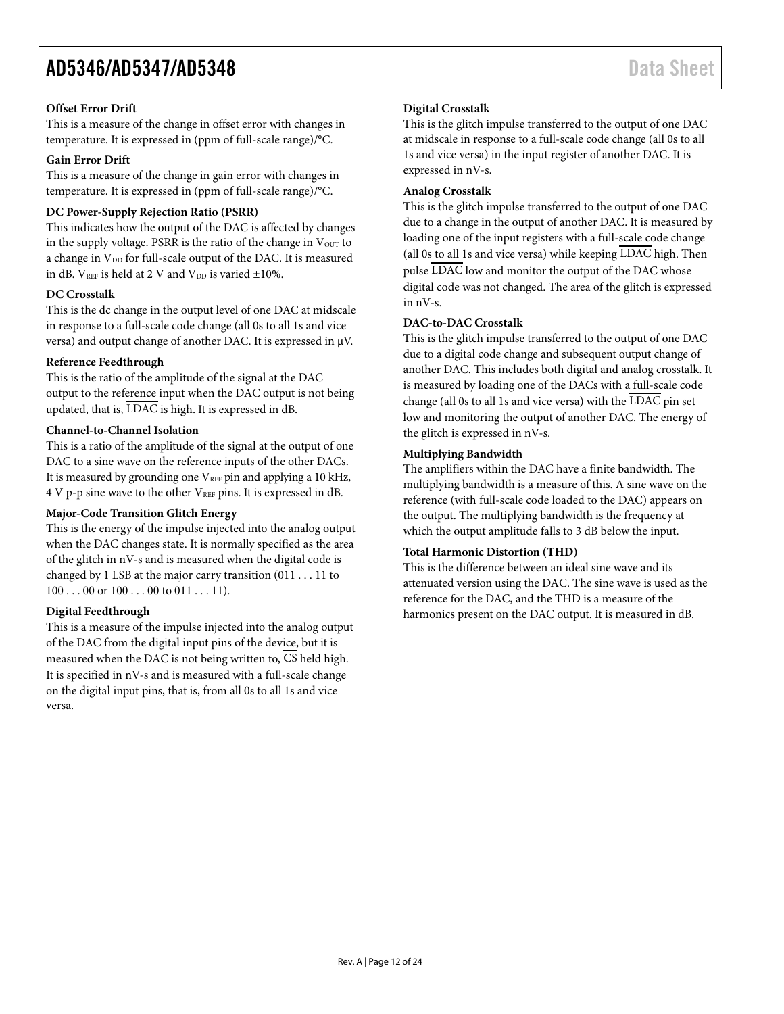## **Offset Error Drift**

This is a measure of the change in offset error with changes in temperature. It is expressed in (ppm of full-scale range)/°C.

## **Gain Error Drift**

This is a measure of the change in gain error with changes in temperature. It is expressed in (ppm of full-scale range)/°C.

# **DC Power-Supply Rejection Ratio (PSRR)**

This indicates how the output of the DAC is affected by changes in the supply voltage. PSRR is the ratio of the change in  $V_{\text{OUT}}$  to a change in V<sub>DD</sub> for full-scale output of the DAC. It is measured in dB.  $V_{REF}$  is held at 2 V and  $V_{DD}$  is varied  $\pm 10\%$ .

# **DC Crosstalk**

This is the dc change in the output level of one DAC at midscale in response to a full-scale code change (all 0s to all 1s and vice versa) and output change of another DAC. It is expressed in µV.

# **Reference Feedthrough**

This is the ratio of the amplitude of the signal at the DAC output to the reference input when the DAC output is not being updated, that is, LDAC is high. It is expressed in dB.

# **Channel-to-Channel Isolation**

This is a ratio of the amplitude of the signal at the output of one DAC to a sine wave on the reference inputs of the other DACs. It is measured by grounding one VREF pin and applying a 10 kHz, 4 V p-p sine wave to the other VREF pins. It is expressed in dB.

## **Major-Code Transition Glitch Energy**

This is the energy of the impulse injected into the analog output when the DAC changes state. It is normally specified as the area of the glitch in nV-s and is measured when the digital code is changed by 1 LSB at the major carry transition (011 . . . 11 to  $100...00$  or  $100...00$  to  $011...11$ .

### **Digital Feedthrough**

This is a measure of the impulse injected into the analog output of the DAC from the digital input pins of the device, but it is measured when the DAC is not being written to,  $\overline{CS}$  held high. It is specified in nV-s and is measured with a full-scale change on the digital input pins, that is, from all 0s to all 1s and vice versa.

# **Digital Crosstalk**

This is the glitch impulse transferred to the output of one DAC at midscale in response to a full-scale code change (all 0s to all 1s and vice versa) in the input register of another DAC. It is expressed in nV-s.

### **Analog Crosstalk**

This is the glitch impulse transferred to the output of one DAC due to a change in the output of another DAC. It is measured by loading one of the input registers with a full-scale code change (all 0s to all 1s and vice versa) while keeping LDAC high. Then pulse LDAC low and monitor the output of the DAC whose digital code was not changed. The area of the glitch is expressed in nV-s.

### **DAC-to-DAC Crosstalk**

This is the glitch impulse transferred to the output of one DAC due to a digital code change and subsequent output change of another DAC. This includes both digital and analog crosstalk. It is measured by loading one of the DACs with a full-scale code change (all 0s to all 1s and vice versa) with the  $\overline{\text{LDAC}}$  pin set low and monitoring the output of another DAC. The energy of the glitch is expressed in nV-s.

#### **Multiplying Bandwidth**

The amplifiers within the DAC have a finite bandwidth. The multiplying bandwidth is a measure of this. A sine wave on the reference (with full-scale code loaded to the DAC) appears on the output. The multiplying bandwidth is the frequency at which the output amplitude falls to 3 dB below the input.

### **Total Harmonic Distortion (THD)**

This is the difference between an ideal sine wave and its attenuated version using the DAC. The sine wave is used as the reference for the DAC, and the THD is a measure of the harmonics present on the DAC output. It is measured in dB.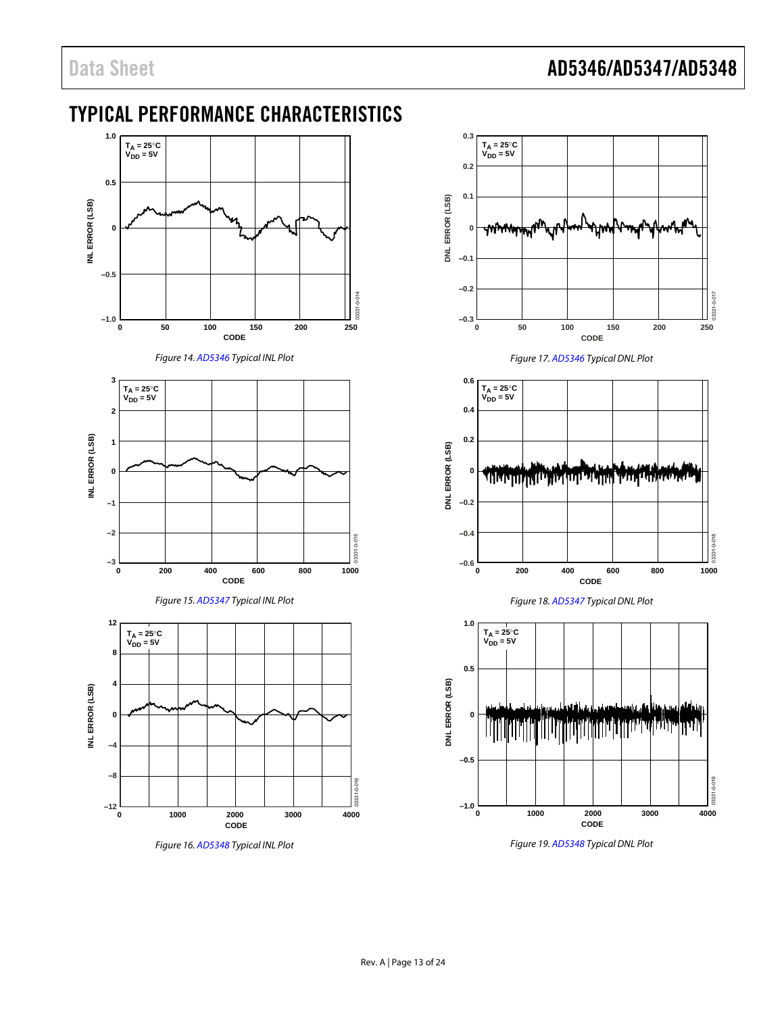# <span id="page-12-0"></span>TYPICAL PERFORMANCE CHARACTERISTICS





<span id="page-12-1"></span>



<span id="page-12-2"></span>

<span id="page-12-3"></span>Figure 16[. AD5348 T](http://www.analog.com/AD5348?doc=AD5346_5347_5348.pdf)ypical INL Plot

<span id="page-12-4"></span>

<span id="page-12-6"></span><span id="page-12-5"></span>Figure 19[. AD5348 T](http://www.analog.com/AD5348?doc=AD5346_5347_5348.pdf)ypical DNL Plot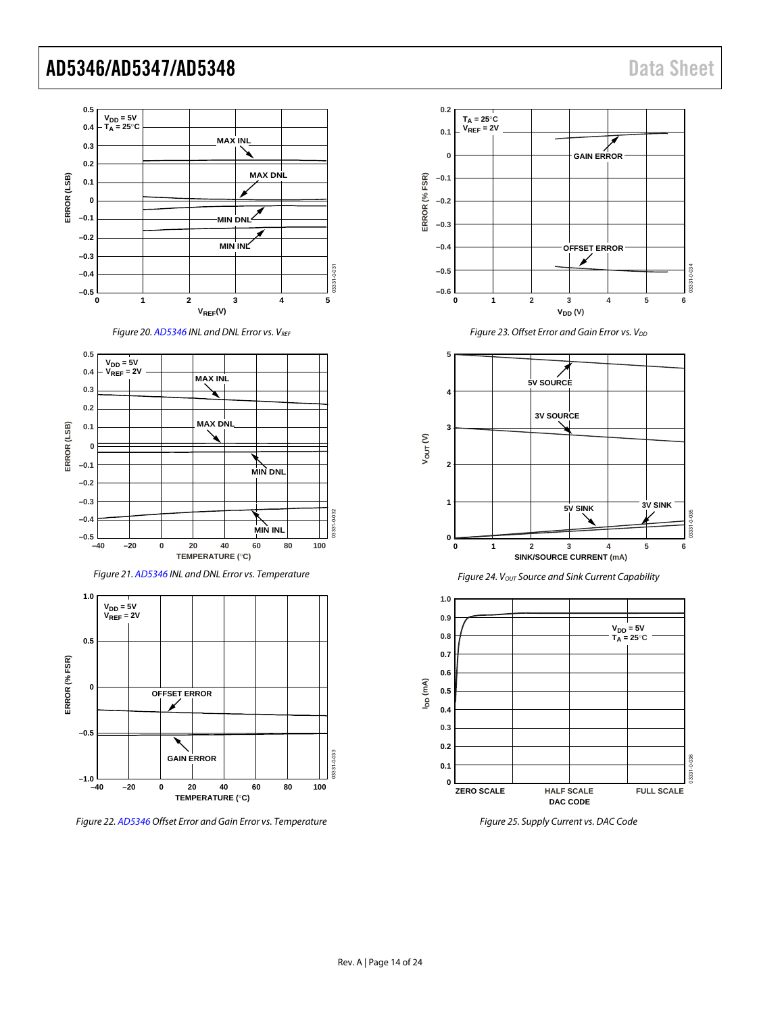

<span id="page-13-0"></span>Figure 25. Supply Current vs. DAC Code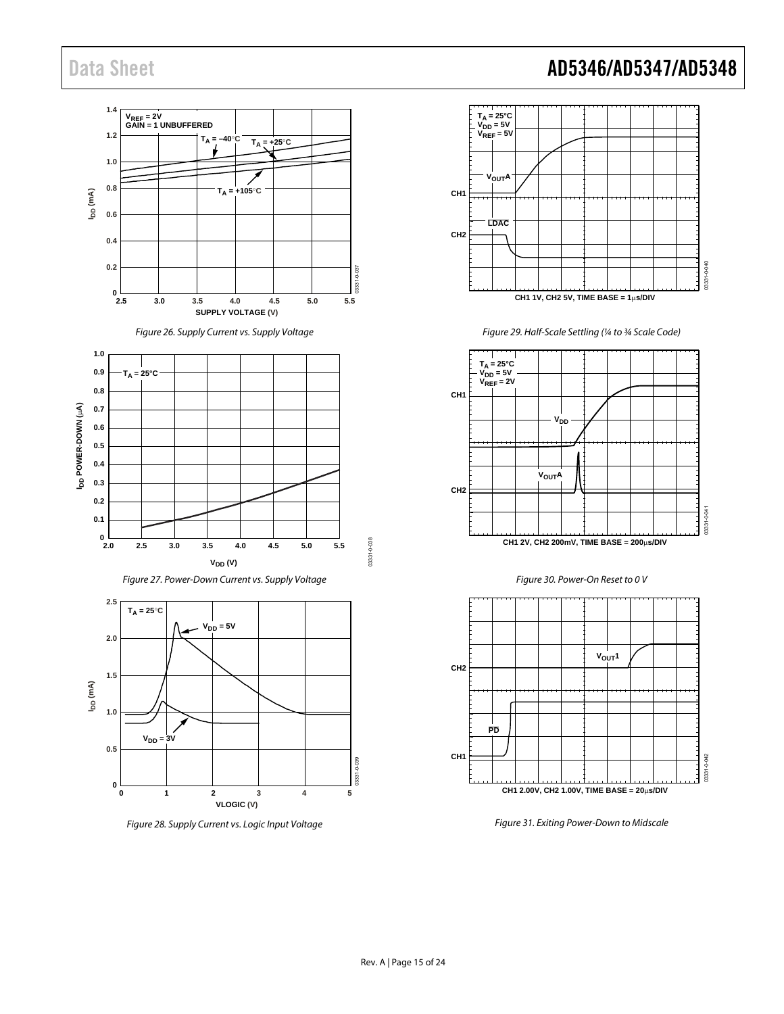

Figure 28. Supply Current vs. Logic Input Voltage



Figure 29. Half-Scale Settling (¼ to ¾ Scale Code)

<span id="page-14-0"></span>

Figure 30. Power-On Reset to 0 V



<span id="page-14-1"></span>Figure 31. Exiting Power-Down to Midscale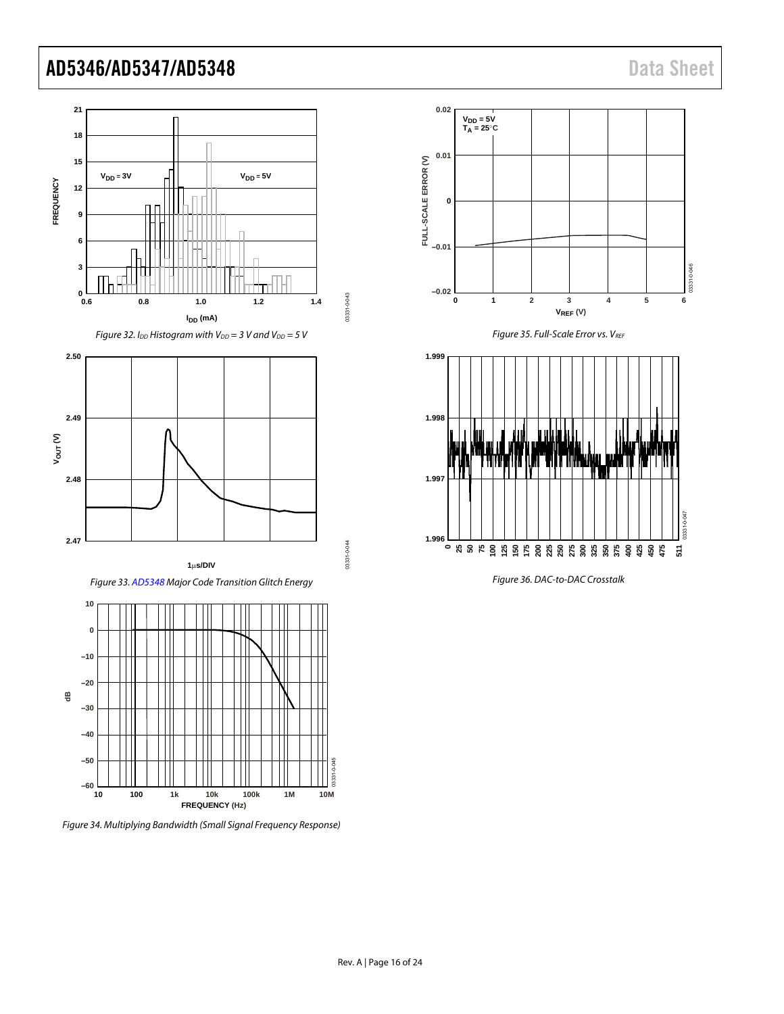

Figure 34. Multiplying Bandwidth (Small Signal Frequency Response)







Figure 36. DAC-to-DAC Crosstalk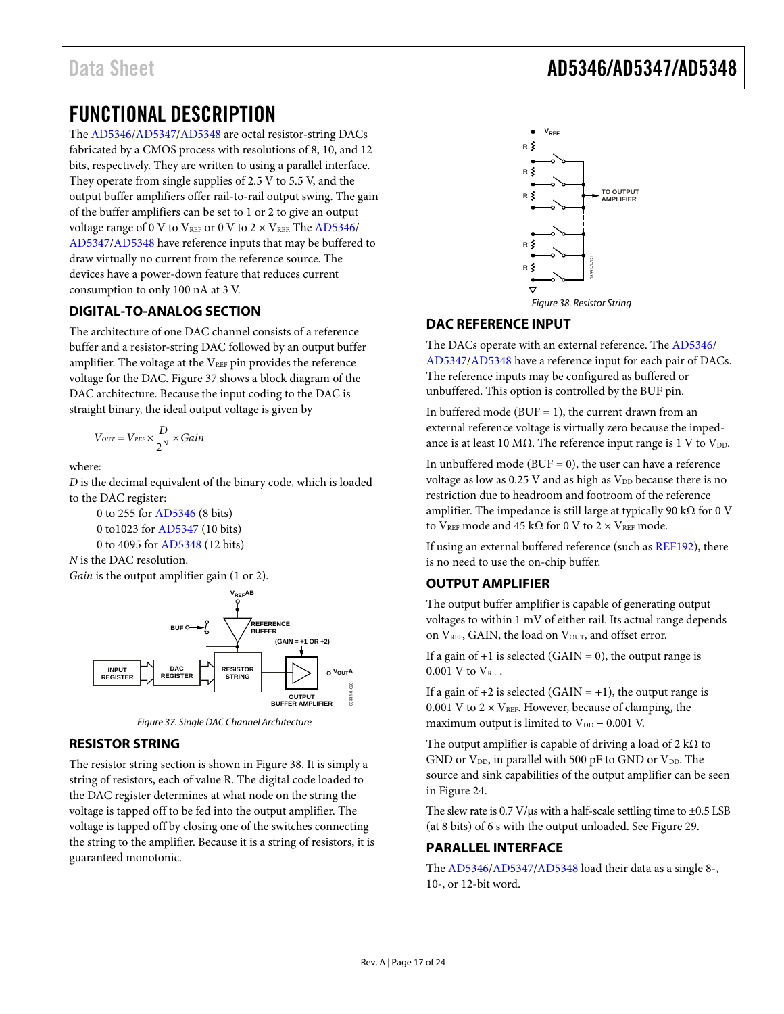# <span id="page-16-0"></span>FUNCTIONAL DESCRIPTION

The [AD5346/](http://www.analog.com/AD5346?doc=AD5346_5347_5348.pdf)[AD5347/](http://www.analog.com/AD5347?doc=AD5346_5347_5348.pdf)[AD5348 a](http://www.analog.com/AD5348?doc=AD5346_5347_5348.pdf)re octal resistor-string DACs fabricated by a CMOS process with resolutions of 8, 10, and 12 bits, respectively. They are written to using a parallel interface. They operate from single supplies of 2.5 V to 5.5 V, and the output buffer amplifiers offer rail-to-rail output swing. The gain of the buffer amplifiers can be set to 1 or 2 to give an output voltage range of 0 V to  $V_{REF}$  or 0 V to 2  $\times$  V<sub>REF.</sub> The [AD5346/](http://www.analog.com/AD5346?doc=AD5346_5347_5348.pdf) [AD5347/](http://www.analog.com/AD5347?doc=AD5346_5347_5348.pdf)[AD5348 h](http://www.analog.com/AD5348?doc=AD5346_5347_5348.pdf)ave reference inputs that may be buffered to draw virtually no current from the reference source. The devices have a power-down feature that reduces current consumption to only 100 nA at 3 V.

### <span id="page-16-1"></span>**DIGITAL-TO-ANALOG SECTION**

The architecture of one DAC channel consists of a reference buffer and a resistor-string DAC followed by an output buffer amplifier. The voltage at the VREF pin provides the reference voltage for the DAC. [Figure 37 s](#page-16-6)hows a block diagram of the DAC architecture. Because the input coding to the DAC is straight binary, the ideal output voltage is given by

$$
V_{\text{OUT}} = V_{\text{REF}} \times \frac{D}{2^N} \times Gain
$$

where:

*D* is the decimal equivalent of the binary code, which is loaded to the DAC register:

 0 to 255 for [AD5346](http://www.analog.com/AD5346?doc=AD5346_5347_5348.pdf) (8 bits) 0 to1023 fo[r AD5347 \(](http://www.analog.com/AD5347?doc=AD5346_5347_5348.pdf)10 bits) 0 to 4095 fo[r AD5348 \(](http://www.analog.com/AD5348?doc=AD5346_5347_5348.pdf)12 bits)



*Gain* is the output amplifier gain (1 or 2).



Figure 37. Single DAC Channel Architecture

### <span id="page-16-6"></span><span id="page-16-2"></span>**RESISTOR STRING**

The resistor string section is shown in [Figure 38.](#page-16-7) It is simply a string of resistors, each of value R. The digital code loaded to the DAC register determines at what node on the string the voltage is tapped off to be fed into the output amplifier. The voltage is tapped off by closing one of the switches connecting the string to the amplifier. Because it is a string of resistors, it is guaranteed monotonic.



### <span id="page-16-7"></span><span id="page-16-3"></span>**DAC REFERENCE INPUT**

The DACs operate with an external reference. The [AD5346/](http://www.analog.com/AD5346?doc=AD5346_5347_5348.pdf) [AD5347/](http://www.analog.com/AD5347?doc=AD5346_5347_5348.pdf)[AD5348 h](http://www.analog.com/AD5348?doc=AD5346_5347_5348.pdf)ave a reference input for each pair of DACs. The reference inputs may be configured as buffered or unbuffered. This option is controlled by the BUF pin.

In buffered mode ( $BUF = 1$ ), the current drawn from an external reference voltage is virtually zero because the impedance is at least 10 M $\Omega$ . The reference input range is 1 V to V<sub>DD</sub>.

In unbuffered mode (BUF  $= 0$ ), the user can have a reference voltage as low as  $0.25$  V and as high as  $V_{DD}$  because there is no restriction due to headroom and footroom of the reference amplifier. The impedance is still large at typically 90 kΩ for 0 V to VREF mode and 45 kΩ for 0 V to 2  $\times$  VREF mode.

If using an external buffered reference (such as [REF192\)](http://www.analog.com/REF192?doc=AD5346_5347_5348.pdf), there is no need to use the on-chip buffer.

### <span id="page-16-4"></span>**OUTPUT AMPLIFIER**

The output buffer amplifier is capable of generating output voltages to within 1 mV of either rail. Its actual range depends on V<sub>REF</sub>, GAIN, the load on V<sub>OUT</sub>, and offset error.

If a gain of  $+1$  is selected (GAIN = 0), the output range is  $0.001$  V to  $V<sub>REF</sub>$ .

If a gain of  $+2$  is selected (GAIN =  $+1$ ), the output range is 0.001 V to  $2 \times V_{REF}$ . However, because of clamping, the maximum output is limited to  $V_{DD}$  – 0.001 V.

The output amplifier is capable of driving a load of 2 k $\Omega$  to GND or  $V_{DD}$ , in parallel with 500 pF to GND or  $V_{DD}$ . The source and sink capabilities of the output amplifier can be seen in [Figure 24.](#page-13-0) 

The slew rate is  $0.7 \text{ V/}\mu\text{s}$  with a half-scale settling time to  $\pm 0.5 \text{ LSB}$ (at 8 bits) of 6 s with the output unloaded. See [Figure 29.](#page-14-0) 

### <span id="page-16-5"></span>**PARALLEL INTERFACE**

The [AD5346/](http://www.analog.com/AD5346?doc=AD5346_5347_5348.pdf)[AD5347/](http://www.analog.com/AD5347?doc=AD5346_5347_5348.pdf)[AD5348 l](http://www.analog.com/AD5348?doc=AD5346_5347_5348.pdf)oad their data as a single 8-, 10-, or 12-bit word.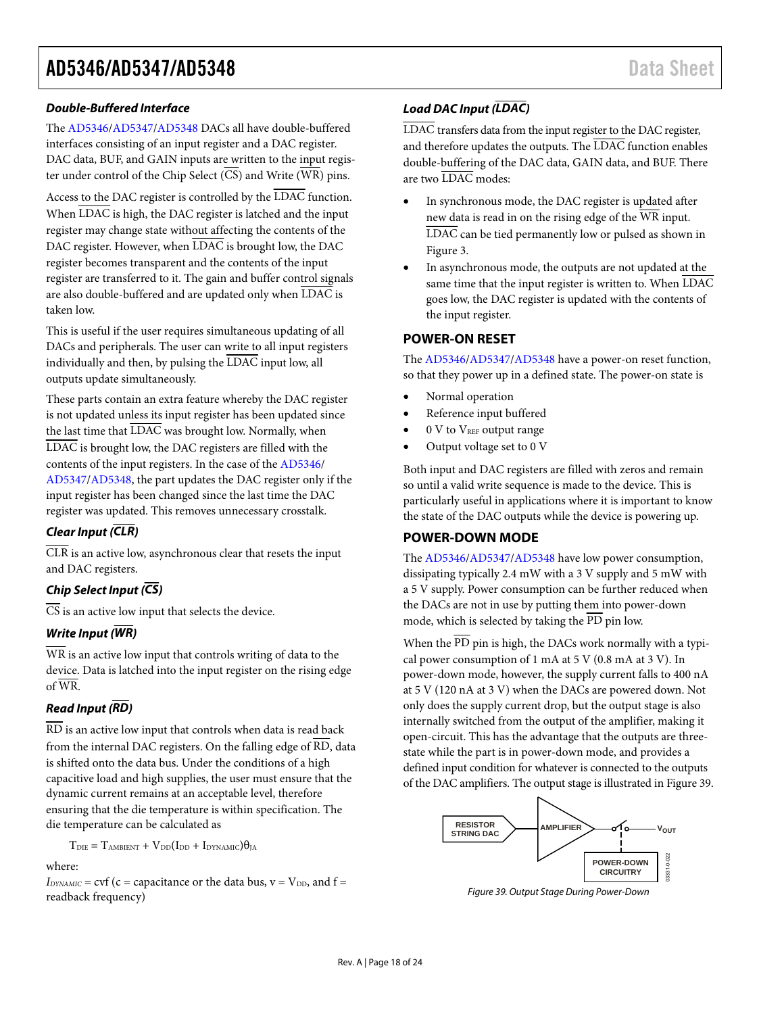#### **Double-Buffered Interface**

The [AD5346/](http://www.analog.com/AD5346?doc=AD5346_5347_5348.pdf)[AD5347/](http://www.analog.com/AD5347?doc=AD5346_5347_5348.pdf)[AD5348 D](http://www.analog.com/AD5348?doc=AD5346_5347_5348.pdf)ACs all have double-buffered interfaces consisting of an input register and a DAC register. DAC data, BUF, and GAIN inputs are written to the input register under control of the Chip Select  $(\overline{CS})$  and Write  $(\overline{WR})$  pins.

Access to the DAC register is controlled by the  $\overline{\text{LDAC}}$  function. When LDAC is high, the DAC register is latched and the input register may change state without affecting the contents of the DAC register. However, when LDAC is brought low, the DAC register becomes transparent and the contents of the input register are transferred to it. The gain and buffer control signals are also double-buffered and are updated only when LDAC is taken low.

This is useful if the user requires simultaneous updating of all DACs and peripherals. The user can write to all input registers individually and then, by pulsing the LDAC input low, all outputs update simultaneously.

These parts contain an extra feature whereby the DAC register is not updated unless its input register has been updated since the last time that  $\overline{\text{LDAC}}$  was brought low. Normally, when LDAC is brought low, the DAC registers are filled with the contents of the input registers. In the case of the [AD5346/](http://www.analog.com/AD5346?doc=AD5346_5347_5348.pdf) [AD5347/](http://www.analog.com/AD5347?doc=AD5346_5347_5348.pdf)[AD5348,](http://www.analog.com/AD5348?doc=AD5346_5347_5348.pdf) the part updates the DAC register only if the input register has been changed since the last time the DAC register was updated. This removes unnecessary crosstalk.

### **Clear Input (CLR)**

 $\overline{CLR}$  is an active low, asynchronous clear that resets the input and DAC registers.

### **Chip Select Input (CS)**

 $\overline{CS}$  is an active low input that selects the device.

### **Write Input (WR)**

WR is an active low input that controls writing of data to the device. Data is latched into the input register on the rising edge of WR.

### **Read Input (RD)**

RD is an active low input that controls when data is read back from the internal DAC registers. On the falling edge of RD, data is shifted onto the data bus. Under the conditions of a high capacitive load and high supplies, the user must ensure that the dynamic current remains at an acceptable level, therefore ensuring that the die temperature is within specification. The die temperature can be calculated as

 $T_{\text{DIE}} = T_{\text{AMBIENT}} + V_{\text{DD}}(I_{\text{DD}} + I_{\text{DYNAMIC}})\theta_{\text{JA}}$ 

#### where:

 $I_{DYNAMIC}$  = cvf (c = capacitance or the data bus, v =  $V_{DD}$ , and f = readback frequency)

## **Load DAC Input (LDAC)**

LDAC transfers data from the input register to the DAC register, and therefore updates the outputs. The LDAC function enables double-buffering of the DAC data, GAIN data, and BUF. There are two LDAC modes:

- In synchronous mode, the DAC register is updated after new data is read in on the rising edge of the WR input. LDAC can be tied permanently low or pulsed as shown in [Figure 3.](#page-5-0)
- In asynchronous mode, the outputs are not updated at the same time that the input register is written to. When LDAC goes low, the DAC register is updated with the contents of the input register.

### <span id="page-17-0"></span>**POWER-ON RESET**

The [AD5346/](http://www.analog.com/AD5346?doc=AD5346_5347_5348.pdf)[AD5347/](http://www.analog.com/AD5347?doc=AD5346_5347_5348.pdf)[AD5348 h](http://www.analog.com/AD5348?doc=AD5346_5347_5348.pdf)ave a power-on reset function, so that they power up in a defined state. The power-on state is

- Normal operation
- Reference input buffered
- 0 V to V<sub>REF</sub> output range
- Output voltage set to 0 V

Both input and DAC registers are filled with zeros and remain so until a valid write sequence is made to the device. This is particularly useful in applications where it is important to know the state of the DAC outputs while the device is powering up.

### <span id="page-17-1"></span>**POWER-DOWN MODE**

The [AD5346/](http://www.analog.com/AD5346?doc=AD5346_5347_5348.pdf)[AD5347/](http://www.analog.com/AD5347?doc=AD5346_5347_5348.pdf)[AD5348 h](http://www.analog.com/AD5348?doc=AD5346_5347_5348.pdf)ave low power consumption, dissipating typically 2.4 mW with a 3 V supply and 5 mW with a 5 V supply. Power consumption can be further reduced when the DACs are not in use by putting them into power-down mode, which is selected by taking the  $\overline{PD}$  pin low.

When the  $\overline{PD}$  pin is high, the DACs work normally with a typical power consumption of 1 mA at 5 V (0.8 mA at 3 V). In power-down mode, however, the supply current falls to 400 nA at 5 V (120 nA at 3 V) when the DACs are powered down. Not only does the supply current drop, but the output stage is also internally switched from the output of the amplifier, making it open-circuit. This has the advantage that the outputs are threestate while the part is in power-down mode, and provides a defined input condition for whatever is connected to the outputs of the DAC amplifiers. The output stage is illustrated i[n Figure 39.](#page-17-2) 



<span id="page-17-2"></span>Figure 39. Output Stage During Power-Down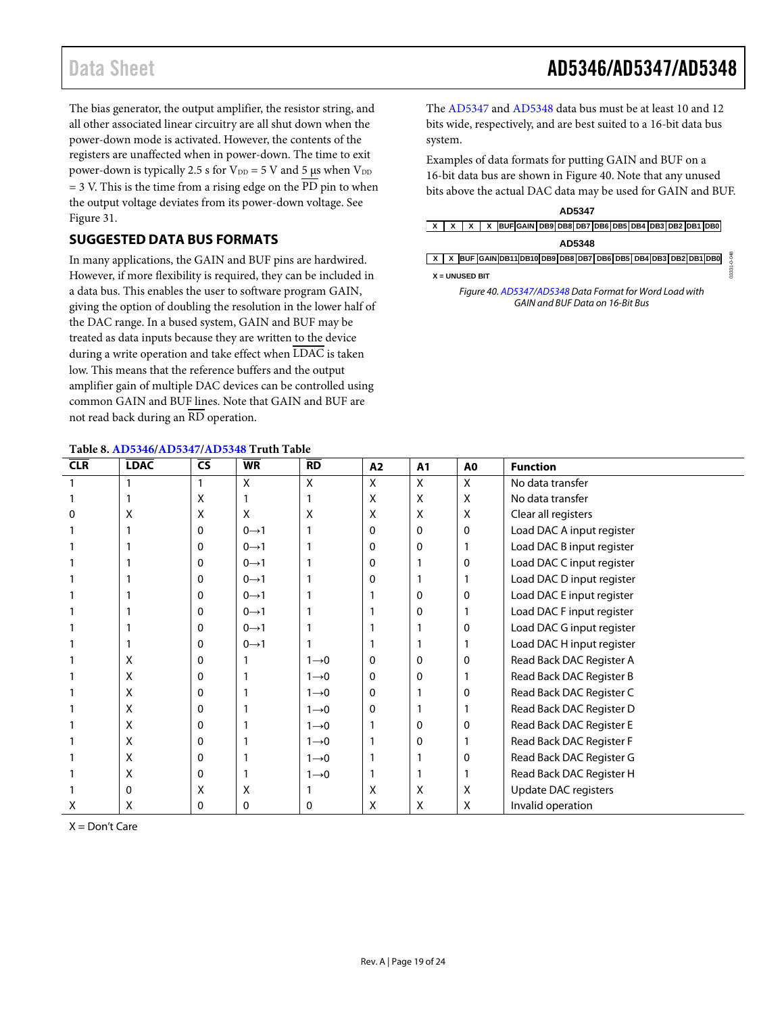The bias generator, the output amplifier, the resistor string, and all other associated linear circuitry are all shut down when the power-down mode is activated. However, the contents of the registers are unaffected when in power-down. The time to exit power-down is typically 2.5 s for  $V_{DD} = 5$  V and 5 µs when  $V_{DD}$ = 3 V. This is the time from a rising edge on the PD pin to when the output voltage deviates from its power-down voltage. See [Figure 31.](#page-14-1)

## <span id="page-18-0"></span>**SUGGESTED DATA BUS FORMATS**

In many applications, the GAIN and BUF pins are hardwired. However, if more flexibility is required, they can be included in a data bus. This enables the user to software program GAIN, giving the option of doubling the resolution in the lower half of the DAC range. In a bused system, GAIN and BUF may be treated as data inputs because they are written to the device during a write operation and take effect when LDAC is taken low. This means that the reference buffers and the output amplifier gain of multiple DAC devices can be controlled using common GAIN and BUF lines. Note that GAIN and BUF are not read back during an RD operation.

#### **Table 8[. AD5346](http://www.analog.com/AD5346?doc=AD5346_5347_5348.pdf)[/AD5347/](http://www.analog.com/AD5347?doc=AD5346_5347_5348.pdf)[AD5348](http://www.analog.com/AD5348?doc=AD5346_5347_5348.pdf) Truth Table**

The [AD5347](http://www.analog.com/AD5347?doc=AD5346_5347_5348.pdf) an[d AD5348](http://www.analog.com/AD5348?doc=AD5346_5347_5348.pdf) data bus must be at least 10 and 12 bits wide, respectively, and are best suited to a 16-bit data bus system.

Examples of data formats for putting GAIN and BUF on a 16-bit data bus are shown in [Figure 40.](#page-18-1) Note that any unused bits above the actual DAC data may be used for GAIN and BUF.

#### **AD5347**

| $x   x   x   x$   BUF GAIN DB9 DB8 DB7 DB6 DB5 DB4 DB3 DB2 DB1 DB0 |
|--------------------------------------------------------------------|
|--------------------------------------------------------------------|

| ш<br><br>× |
|------------|
|------------|

<span id="page-18-1"></span>

|  |                | X X BUF GAIN DB11 DB10 DB9 DB8 DB7 DB6 DB5 DB4 DB3 DB2 DB1 DB0 |  |  |  |  |  |  | 64 |
|--|----------------|----------------------------------------------------------------|--|--|--|--|--|--|----|
|  | X = UNUSED BIT |                                                                |  |  |  |  |  |  |    |

*Figure 40[. AD5347](http://www.analog.com/AD5347?doc=AD5346_5347_5348.pdf)[/AD5348](http://www.analog.com/AD5348?doc=AD5346_5347_5348.pdf) Data Format for Word Load with GAIN and BUF Data on 16-Bit Bus*

| <b>CLR</b> | <b>LDAC</b> | $\overline{\mathsf{cs}}$ | <b>WR</b>         | <b>RD</b>         | A2 | A1       | A0 | <b>Function</b>             |
|------------|-------------|--------------------------|-------------------|-------------------|----|----------|----|-----------------------------|
|            |             |                          | Χ                 | X                 | Χ  | X        | X  | No data transfer            |
|            |             | X                        |                   |                   | х  | X        | Χ  | No data transfer            |
| 0          | Χ           | X                        | Χ                 | X                 | x  | X        | X  | Clear all registers         |
|            |             | 0                        | $0 \rightarrow 1$ |                   | 0  | $\Omega$ | 0  | Load DAC A input register   |
|            |             | 0                        | $0 \rightarrow 1$ |                   | 0  | 0        |    | Load DAC B input register   |
|            |             | 0                        | $0 \rightarrow 1$ |                   | 0  |          | 0  | Load DAC C input register   |
|            |             | 0                        | $0 \rightarrow 1$ |                   |    |          |    | Load DAC D input register   |
|            |             | 0                        | $0 \rightarrow 1$ |                   |    | 0        | 0  | Load DAC E input register   |
|            |             | 0                        | $0 \rightarrow 1$ |                   |    | 0        |    | Load DAC F input register   |
|            |             | 0                        | $0 \rightarrow 1$ |                   |    |          | 0  | Load DAC G input register   |
|            |             | 0                        | $0 \rightarrow 1$ |                   |    |          |    | Load DAC H input register   |
|            | х           | 0                        |                   | $1\rightarrow 0$  | 0  | 0        | 0  | Read Back DAC Register A    |
|            | X           | 0                        |                   | $1\rightarrow 0$  | 0  | 0        |    | Read Back DAC Register B    |
|            | X           | 0                        |                   | $1\rightarrow 0$  | 0  |          | 0  | Read Back DAC Register C    |
|            | X           | 0                        |                   | $1\rightarrow 0$  | 0  |          |    | Read Back DAC Register D    |
|            | x           | 0                        |                   | $1\rightarrow 0$  |    | 0        | 0  | Read Back DAC Register E    |
|            | X           | 0                        |                   | $1\rightarrow 0$  |    | 0        |    | Read Back DAC Register F    |
|            | X           | 0                        |                   | $1\rightarrow 0$  |    |          | 0  | Read Back DAC Register G    |
|            | X           | 0                        |                   | $1 \rightarrow 0$ |    |          |    | Read Back DAC Register H    |
|            | 0           | X                        | Χ                 |                   | Χ  | X        | Χ  | <b>Update DAC registers</b> |
| Х          | х           | 0                        | 0                 | 0                 | Χ  | X        | Χ  | Invalid operation           |

 $X = Don't Care$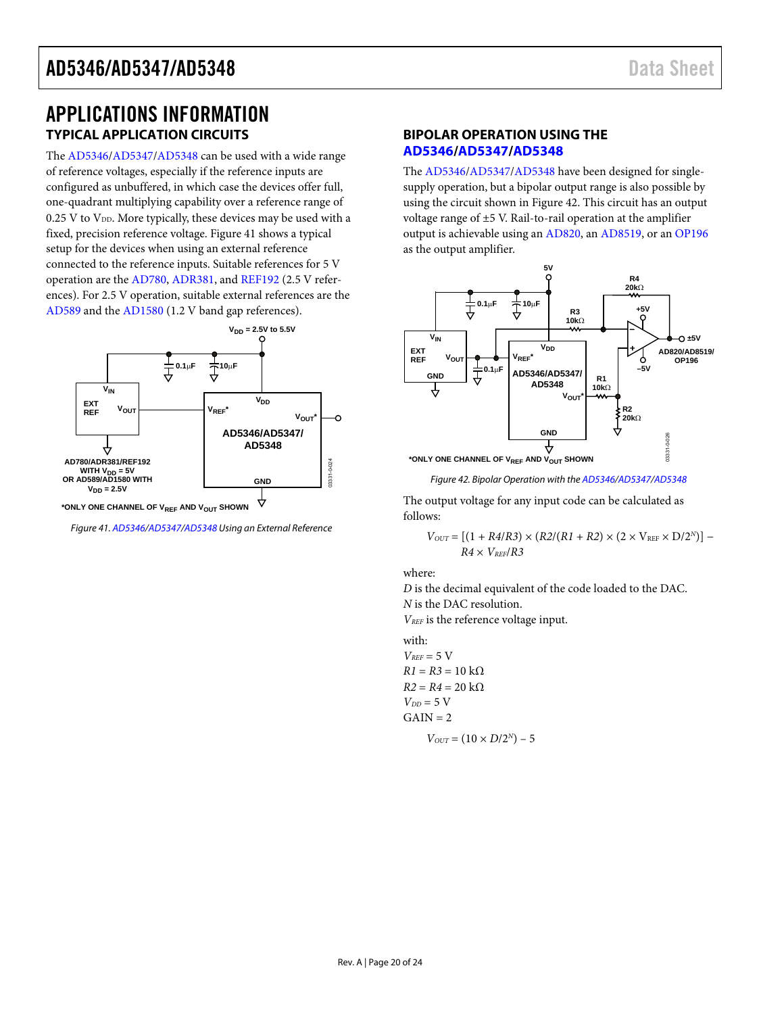# <span id="page-19-0"></span>APPLICATIONS INFORMATION **TYPICAL APPLICATION CIRCUITS**

The [AD5346/](http://www.analog.com/AD5346?doc=AD5346_5347_5348.pdf)[AD5347/](http://www.analog.com/AD5347?doc=AD5346_5347_5348.pdf)[AD5348 c](http://www.analog.com/AD5348?doc=AD5346_5347_5348.pdf)an be used with a wide range of reference voltages, especially if the reference inputs are configured as unbuffered, in which case the devices offer full, one-quadrant multiplying capability over a reference range of  $0.25$  V to  $V_{DD}$ . More typically, these devices may be used with a fixed, precision reference voltage[. Figure 41](#page-19-2) shows a typical setup for the devices when using an external reference connected to the reference inputs. Suitable references for 5 V operation are the [AD780,](http://www.analog.com/AD780?doc=AD5346_5347_5348.pdf) [ADR381,](http://www.analog.com/ADR381?doc=AD5346_5347_5348.pdf) and [REF192](http://www.analog.com/REF192?doc=AD5346_5347_5348.pdf) (2.5 V references). For 2.5 V operation, suitable external references are the [AD589](http://www.analog.com/AD589?doc=AD5346_5347_5348.pdf) and the [AD1580 \(](http://www.analog.com/AD1580?doc=AD5346_5347_5348.pdf)1.2 V band gap references).



<span id="page-19-2"></span><span id="page-19-1"></span>Figure 41[. AD5346/](http://www.analog.com/AD5346?doc=AD5346_5347_5348.pdf)[AD5347/](http://www.analog.com/AD5347?doc=AD5346_5347_5348.pdf)[AD5348 U](http://www.analog.com/AD5348?doc=AD5346_5347_5348.pdf)sing an External Reference

#### **BIPOLAR OPERATION USING THE [AD5346/](http://www.analog.com/AD5346?doc=AD5346_5347_5348.pdf)[AD5347](http://www.analog.com/AD5347?doc=AD5346_5347_5348.pdf)[/AD5348](http://www.analog.com/AD5348?doc=AD5346_5347_5348.pdf)**

The [AD5346/](http://www.analog.com/AD5346?doc=AD5346_5347_5348.pdf)[AD5347/](http://www.analog.com/AD5347?doc=AD5346_5347_5348.pdf)[AD5348 h](http://www.analog.com/AD5348?doc=AD5346_5347_5348.pdf)ave been designed for singlesupply operation, but a bipolar output range is also possible by using the circuit shown i[n Figure 42.](#page-19-3) This circuit has an output voltage range of ±5 V. Rail-to-rail operation at the amplifier output is achievable using a[n AD820,](http://www.analog.com/AD820?doc=AD5346_5347_5348.pdf) a[n AD8519,](http://www.analog.com/AD8519?doc=AD5346_5347_5348.pdf) or a[n OP196](http://www.analog.com/OP196?doc=AD5346_5347_5348.pdf) as the output amplifier.



Figure 42. Bipolar Operation with th[e AD5346/](http://www.analog.com/AD5346?doc=AD5346_5347_5348.pdf)[AD5347/](http://www.analog.com/AD5347?doc=AD5346_5347_5348.pdf)[AD5348](http://www.analog.com/AD5348?doc=AD5346_5347_5348.pdf)

<span id="page-19-3"></span>The output voltage for any input code can be calculated as follows:

$$
V_{OUT} = \left[ (1+R4/R3) \times (R2/(R1+R2) \times (2 \times \mathrm{V_{REF}} \times \mathrm{D}/2^N) \right] - R4 \times \mathrm{V_{REF}}/R3
$$

where:

*D* is the decimal equivalent of the code loaded to the DAC. *N* is the DAC resolution.

*VREF* is the reference voltage input.

with:  $V_{REF}$  = 5 V

 $R1 = R3 = 10$  kΩ  $R2 = R4 = 20$  kΩ  $V_{DD}$  = 5 V  $GAIN = 2$  $V_{OUT} = (10 \times D/2^N) - 5$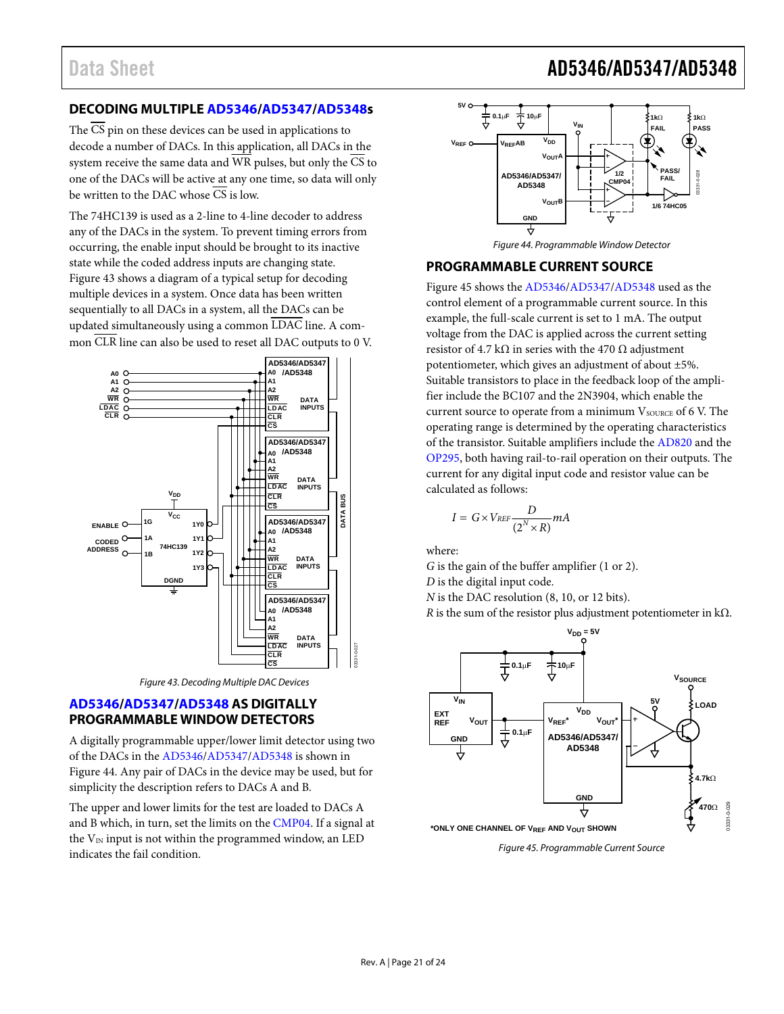# <span id="page-20-0"></span>**DECODING MULTIPLE [AD5346](http://www.analog.com/AD5346?doc=AD5346_5347_5348.pdf)[/AD5347](http://www.analog.com/AD5347?doc=AD5346_5347_5348.pdf)[/AD5348s](http://www.analog.com/AD5348?doc=AD5346_5347_5348.pdf)**

The CS pin on these devices can be used in applications to decode a number of DACs. In this application, all DACs in the system receive the same data and  $\overline{WR}$  pulses, but only the  $\overline{CS}$  to one of the DACs will be active at any one time, so data will only be written to the DAC whose  $\overline{CS}$  is low.

The 74HC139 is used as a 2-line to 4-line decoder to address any of the DACs in the system. To prevent timing errors from occurring, the enable input should be brought to its inactive state while the coded address inputs are changing state. [Figure 43 s](#page-20-1)hows a diagram of a typical setup for decoding multiple devices in a system. Once data has been written sequentially to all DACs in a system, all the DACs can be updated simultaneously using a common LDAC line. A common CLR line can also be used to reset all DAC outputs to 0 V.



Figure 43. Decoding Multiple DAC Devices

### <span id="page-20-1"></span>**[AD5346/](http://www.analog.com/AD5346?doc=AD5346_5347_5348.pdf)[AD5347](http://www.analog.com/AD5347?doc=AD5346_5347_5348.pdf)[/AD5348](http://www.analog.com/AD5348?doc=AD5346_5347_5348.pdf) AS DIGITALLY PROGRAMMABLE WINDOW DETECTORS**

A digitally programmable upper/lower limit detector using two of the DACs in the [AD5346/](http://www.analog.com/AD5346?doc=AD5346_5347_5348.pdf)[AD5347](http://www.analog.com/AD5347?doc=AD5346_5347_5348.pdf)[/AD5348 i](http://www.analog.com/AD5348?doc=AD5346_5347_5348.pdf)s shown in [Figure 44.](#page-20-2) Any pair of DACs in the device may be used, but for simplicity the description refers to DACs A and B.

The upper and lower limits for the test are loaded to DACs A and B which, in turn, set the limits on th[e CMP04. I](http://www.analog.com/CMP04?doc=AD5346_5347_5348.pdf)f a signal at the  $V_{IN}$  input is not within the programmed window, an LED indicates the fail condition.



Figure 44. Programmable Window Detector

### <span id="page-20-2"></span>**PROGRAMMABLE CURRENT SOURCE**

[Figure 45 s](#page-20-3)hows th[e AD5346](http://www.analog.com/AD5346?doc=AD5346_5347_5348.pdf)[/AD5347](http://www.analog.com/AD5347?doc=AD5346_5347_5348.pdf)[/AD5348](http://www.analog.com/AD5348?doc=AD5346_5347_5348.pdf) used as the control element of a programmable current source. In this example, the full-scale current is set to 1 mA. The output voltage from the DAC is applied across the current setting resistor of 4.7 kΩ in series with the 470 Ω adjustment potentiometer, which gives an adjustment of about ±5%. Suitable transistors to place in the feedback loop of the amplifier include the BC107 and the 2N3904, which enable the current source to operate from a minimum  $V_{\text{SOLRCE}}$  of 6 V. The operating range is determined by the operating characteristics of the transistor. Suitable amplifiers include th[e AD820 a](http://www.analog.com/AD820?doc=AD5346_5347_5348.pdf)nd the [OP295,](http://www.analog.com/OP295?doc=AD5346_5347_5348.pdf) both having rail-to-rail operation on their outputs. The current for any digital input code and resistor value can be calculated as follows:

$$
I = G \times V_{REF} \frac{D}{(2^N \times R)} mA
$$

where:

*G* is the gain of the buffer amplifier (1 or 2).

*D* is the digital input code.

*N* is the DAC resolution (8, 10, or 12 bits).

*R* is the sum of the resistor plus adjustment potentiometer in kΩ.



<span id="page-20-3"></span>Figure 45. Programmable Current Source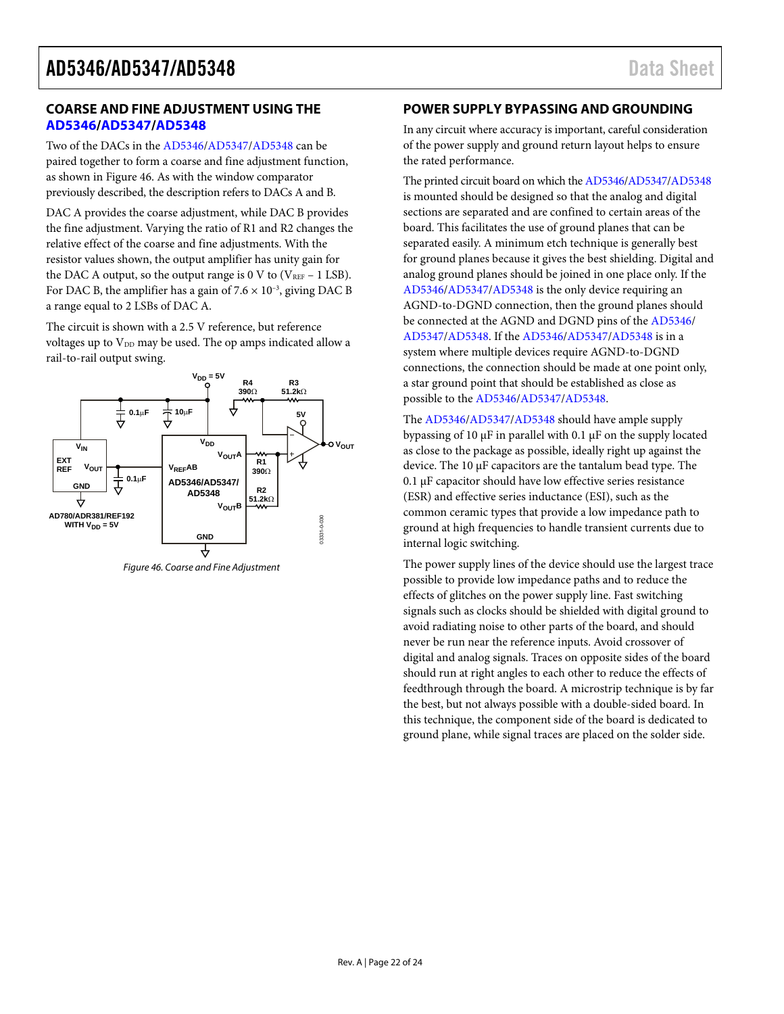#### <span id="page-21-0"></span>**COARSE AND FINE ADJUSTMENT USING THE [AD5346/](http://www.analog.com/AD5346?doc=AD5346_5347_5348.pdf)[AD5347](http://www.analog.com/AD5347?doc=AD5346_5347_5348.pdf)[/AD5348](http://www.analog.com/AD5348?doc=AD5346_5347_5348.pdf)**

Two of the DACs in th[e AD5346/](http://www.analog.com/AD5346?doc=AD5346_5347_5348.pdf)[AD5347](http://www.analog.com/AD5347?doc=AD5346_5347_5348.pdf)[/AD5348](http://www.analog.com/AD5348?doc=AD5346_5347_5348.pdf) can be paired together to form a coarse and fine adjustment function, as shown i[n Figure 46.](#page-21-1) As with the window comparator previously described, the description refers to DACs A and B.

DAC A provides the coarse adjustment, while DAC B provides the fine adjustment. Varying the ratio of R1 and R2 changes the relative effect of the coarse and fine adjustments. With the resistor values shown, the output amplifier has unity gain for the DAC A output, so the output range is 0 V to ( $V_{REF}$  – 1 LSB). For DAC B, the amplifier has a gain of  $7.6 \times 10^{-3}$ , giving DAC B a range equal to 2 LSBs of DAC A.

The circuit is shown with a 2.5 V reference, but reference voltages up to  $V_{DD}$  may be used. The op amps indicated allow a rail-to-rail output swing.



<span id="page-21-1"></span>Figure 46. Coarse and Fine Adjustment

### **POWER SUPPLY BYPASSING AND GROUNDING**

In any circuit where accuracy is important, careful consideration of the power supply and ground return layout helps to ensure the rated performance.

The printed circuit board on which th[e AD5346](http://www.analog.com/AD5346?doc=AD5346_5347_5348.pdf)[/AD5347](http://www.analog.com/AD5347?doc=AD5346_5347_5348.pdf)[/AD5348](http://www.analog.com/AD5348?doc=AD5346_5347_5348.pdf) is mounted should be designed so that the analog and digital sections are separated and are confined to certain areas of the board. This facilitates the use of ground planes that can be separated easily. A minimum etch technique is generally best for ground planes because it gives the best shielding. Digital and analog ground planes should be joined in one place only. If the [AD5346/](http://www.analog.com/AD5346?doc=AD5346_5347_5348.pdf)[AD5347/](http://www.analog.com/AD5347?doc=AD5346_5347_5348.pdf)[AD5348 i](http://www.analog.com/AD5348?doc=AD5346_5347_5348.pdf)s the only device requiring an AGND-to-DGND connection, then the ground planes should be connected at the AGND and DGND pins of th[e AD5346/](http://www.analog.com/AD5346?doc=AD5346_5347_5348.pdf) [AD5347/](http://www.analog.com/AD5347?doc=AD5346_5347_5348.pdf)[AD5348.](http://www.analog.com/AD5348?doc=AD5346_5347_5348.pdf) If th[e AD5346](http://www.analog.com/AD5346?doc=AD5346_5347_5348.pdf)[/AD5347](http://www.analog.com/AD5347?doc=AD5346_5347_5348.pdf)[/AD5348](http://www.analog.com/AD5348?doc=AD5346_5347_5348.pdf) is in a system where multiple devices require AGND-to-DGND connections, the connection should be made at one point only, a star ground point that should be established as close as possible to th[e AD5346](http://www.analog.com/AD5346?doc=AD5346_5347_5348.pdf)[/AD5347/](http://www.analog.com/AD5347?doc=AD5346_5347_5348.pdf)[AD5348.](http://www.analog.com/AD5348?doc=AD5346_5347_5348.pdf) 

The [AD5346/](http://www.analog.com/AD5346?doc=AD5346_5347_5348.pdf)[AD5347/](http://www.analog.com/AD5347?doc=AD5346_5347_5348.pdf)[AD5348 s](http://www.analog.com/AD5348?doc=AD5346_5347_5348.pdf)hould have ample supply bypassing of 10 μF in parallel with 0.1 μF on the supply located as close to the package as possible, ideally right up against the device. The 10 μF capacitors are the tantalum bead type. The 0.1 μF capacitor should have low effective series resistance (ESR) and effective series inductance (ESI), such as the common ceramic types that provide a low impedance path to ground at high frequencies to handle transient currents due to internal logic switching.

The power supply lines of the device should use the largest trace possible to provide low impedance paths and to reduce the effects of glitches on the power supply line. Fast switching signals such as clocks should be shielded with digital ground to avoid radiating noise to other parts of the board, and should never be run near the reference inputs. Avoid crossover of digital and analog signals. Traces on opposite sides of the board should run at right angles to each other to reduce the effects of feedthrough through the board. A microstrip technique is by far the best, but not always possible with a double-sided board. In this technique, the component side of the board is dedicated to ground plane, while signal traces are placed on the solder side.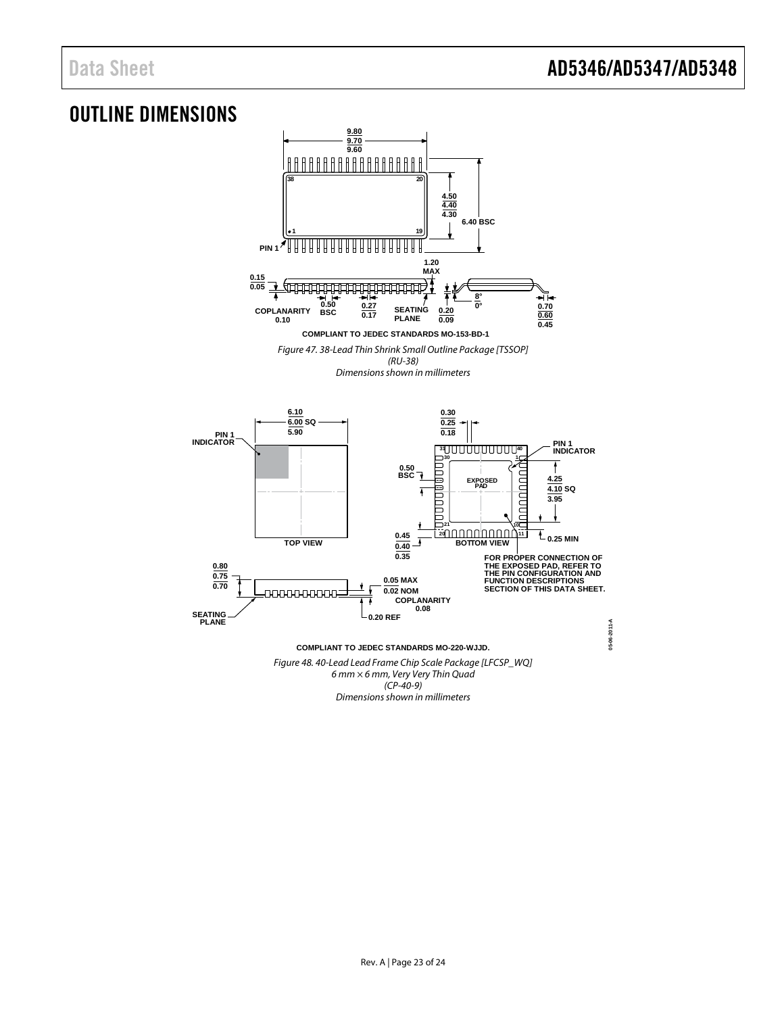# <span id="page-22-0"></span>OUTLINE DIMENSIONS



 $(CP-40-9)$ Dimensions shown in millimeters